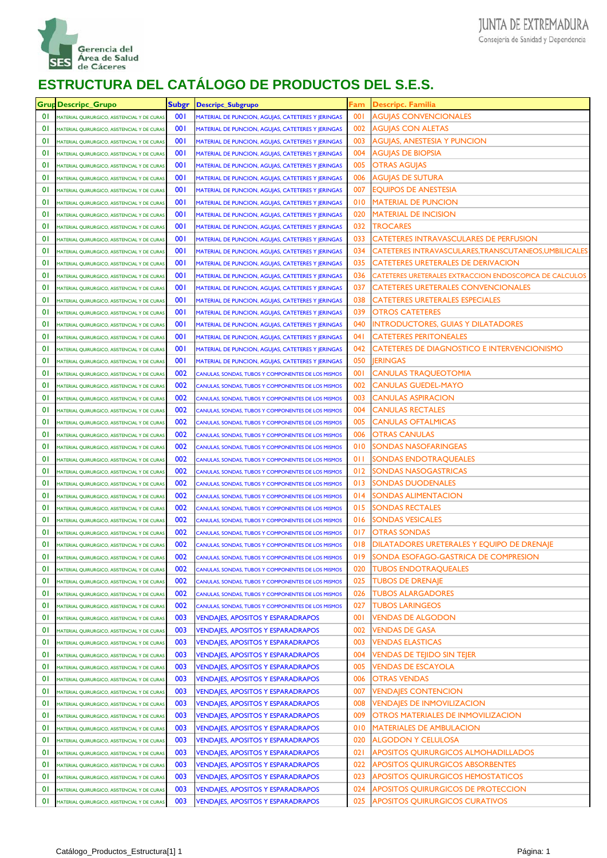

| Grup           | <b>Descripc Grupo</b>                       | <b>Subgr</b> | <b>Descripc_Subgrupo</b>                           | Fam        | <b>Descripc. Familia</b>                                |
|----------------|---------------------------------------------|--------------|----------------------------------------------------|------------|---------------------------------------------------------|
| $\overline{0}$ | MATERIAL QUIRURGICO, ASISTENCIAL Y DE CURAS | 001          | MATERIAL DE PUNCION, AGUJAS, CATETERES Y JERINGAS  | 001        | <b>AGUJAS CONVENCIONALES</b>                            |
| $\overline{0}$ | MATERIAL QUIRURGICO, ASISTENCIAL Y DE CURAS | 001          | MATERIAL DE PUNCION, AGUJAS, CATETERES Y JERINGAS  | 002        | AGUJAS CON ALETAS                                       |
| $\overline{0}$ | MATERIAL QUIRURGICO, ASISTENCIAL Y DE CURAS | 001          | MATERIAL DE PUNCION, AGUJAS, CATETERES Y JERINGAS  | 003        | AGUJAS, ANESTESIA Y PUNCION                             |
| $\overline{0}$ | MATERIAL QUIRURGICO, ASISTENCIAL Y DE CURAS | 001          | MATERIAL DE PUNCION, AGUJAS, CATETERES Y JERINGAS  | 004        | AGUJAS DE BIOPSIA                                       |
| $\overline{0}$ | MATERIAL QUIRURGICO, ASISTENCIAL Y DE CURAS | 001          | MATERIAL DE PUNCION, AGUJAS, CATETERES Y JERINGAS  | 005        | OTRAS AGUJAS                                            |
| $\overline{0}$ | MATERIAL QUIRURGICO, ASISTENCIAL Y DE CURAS | 001          | MATERIAL DE PUNCION, AGUJAS, CATETERES Y JERINGAS  | 006        | AGUJAS DE SUTURA                                        |
| $\overline{0}$ | MATERIAL QUIRURGICO, ASISTENCIAL Y DE CURAS | 001          | MATERIAL DE PUNCION, AGUJAS, CATETERES Y JERINGAS  | 007        | EQUIPOS DE ANESTESIA                                    |
| $\overline{0}$ | MATERIAL QUIRURGICO, ASISTENCIAL Y DE CURAS | 001          | MATERIAL DE PUNCION, AGUJAS, CATETERES Y JERINGAS  | 010        | <b>MATERIAL DE PUNCION</b>                              |
| $\overline{0}$ | MATERIAL QUIRURGICO, ASISTENCIAL Y DE CURAS | 001          | MATERIAL DE PUNCION, AGUJAS, CATETERES Y JERINGAS  | 020        | <b>MATERIAL DE INCISION</b>                             |
| $\overline{0}$ | MATERIAL QUIRURGICO, ASISTENCIAL Y DE CURAS | 001          | MATERIAL DE PUNCION, AGUJAS, CATETERES Y JERINGAS  | 032        | TROCARES                                                |
| $\overline{0}$ | MATERIAL QUIRURGICO, ASISTENCIAL Y DE CURAS | 001          | MATERIAL DE PUNCION, AGUJAS, CATETERES Y JERINGAS  | 033        | CATETERES INTRAVASCULARES DE PERFUSION                  |
| $\overline{0}$ | MATERIAL QUIRURGICO, ASISTENCIAL Y DE CURAS | 001          | MATERIAL DE PUNCION, AGUJAS, CATETERES Y JERINGAS  | 034        | CATETERES INTRAVASCULARES,TRANSCUTANEOS,UMBILICALES     |
| $\overline{0}$ | MATERIAL QUIRURGICO, ASISTENCIAL Y DE CURAS | 001          | MATERIAL DE PUNCION, AGUJAS, CATETERES Y JERINGAS  | 035        | CATETERES URETERALES DE DERIVACION                      |
| $\overline{0}$ | MATERIAL QUIRURGICO, ASISTENCIAL Y DE CURAS | 001          | MATERIAL DE PUNCION, AGUJAS, CATETERES Y JERINGAS  | 036        | CATETERES URETERALES EXTRACCION ENDOSCOPICA DE CALCULOS |
| $\overline{0}$ | MATERIAL QUIRURGICO, ASISTENCIAL Y DE CURAS | 001          | MATERIAL DE PUNCION, AGUJAS, CATETERES Y JERINGAS  | 037        | CATETERES URETERALES CONVENCIONALES                     |
| $\overline{0}$ | MATERIAL QUIRURGICO, ASISTENCIAL Y DE CURAS | 001          | MATERIAL DE PUNCION, AGUJAS, CATETERES Y JERINGAS  | 038        | <b>CATETERES URETERALES ESPECIALES</b>                  |
| $\overline{0}$ | MATERIAL QUIRURGICO, ASISTENCIAL Y DE CURAS | 001          | MATERIAL DE PUNCION, AGUJAS, CATETERES Y JERINGAS  | 039        | OTROS CATETERES                                         |
| $\overline{0}$ | MATERIAL QUIRURGICO, ASISTENCIAL Y DE CURAS | 001          | MATERIAL DE PUNCION, AGUJAS, CATETERES Y JERINGAS  | 040        | INTRODUCTORES, GUIAS Y DILATADORES                      |
| $\overline{0}$ | MATERIAL QUIRURGICO, ASISTENCIAL Y DE CURAS | 001          | MATERIAL DE PUNCION, AGUJAS, CATETERES Y JERINGAS  | 041        | <b>CATETERES PERITONEALES</b>                           |
| $\overline{0}$ | MATERIAL QUIRURGICO, ASISTENCIAL Y DE CURAS | 001          | MATERIAL DE PUNCION, AGUJAS, CATETERES Y JERINGAS  | 042        | CATETERES DE DIAGNOSTICO E INTERVENCIONISMO             |
| $\overline{0}$ | MATERIAL QUIRURGICO, ASISTENCIAL Y DE CURAS | 001          | MATERIAL DE PUNCION, AGUJAS, CATETERES Y JERINGAS  | 050        | <b>IERINGAS</b>                                         |
| $\overline{0}$ | MATERIAL QUIRURGICO, ASISTENCIAL Y DE CURAS | 002          | CANULAS, SONDAS, TUBOS Y COMPONENTES DE LOS MISMOS | <b>001</b> | CANULAS TRAQUEOTOMIA                                    |
| $\overline{0}$ | MATERIAL QUIRURGICO, ASISTENCIAL Y DE CURAS | 002          | CANULAS, SONDAS, TUBOS Y COMPONENTES DE LOS MISMOS | 002        | CANULAS GUEDEL-MAYO                                     |
| $\overline{0}$ | MATERIAL QUIRURGICO, ASISTENCIAL Y DE CURAS | 002          | CANULAS, SONDAS, TUBOS Y COMPONENTES DE LOS MISMOS | 003        | <b>CANULAS ASPIRACION</b>                               |
| $\overline{0}$ | MATERIAL QUIRURGICO, ASISTENCIAL Y DE CURAS | 002          | CANULAS, SONDAS, TUBOS Y COMPONENTES DE LOS MISMOS | 004        | CANULAS RECTALES                                        |
| $\overline{0}$ | MATERIAL QUIRURGICO, ASISTENCIAL Y DE CURAS | 002          | CANULAS, SONDAS, TUBOS Y COMPONENTES DE LOS MISMOS | 005        | <b>CANULAS OFTALMICAS</b>                               |
| $\overline{0}$ | MATERIAL QUIRURGICO, ASISTENCIAL Y DE CURAS | 002          | CANULAS, SONDAS, TUBOS Y COMPONENTES DE LOS MISMOS | 006        | OTRAS CANULAS                                           |
| $\overline{0}$ | MATERIAL QUIRURGICO, ASISTENCIAL Y DE CURAS | 002          | CANULAS, SONDAS, TUBOS Y COMPONENTES DE LOS MISMOS | 010        | SONDAS NASOFARINGEAS                                    |
| $\overline{0}$ | MATERIAL QUIRURGICO, ASISTENCIAL Y DE CURAS | 002          | CANULAS, SONDAS, TUBOS Y COMPONENTES DE LOS MISMOS | 011        | SONDAS ENDOTRAQUEALES                                   |
| $\overline{0}$ | MATERIAL QUIRURGICO, ASISTENCIAL Y DE CURAS | 002          | CANULAS, SONDAS, TUBOS Y COMPONENTES DE LOS MISMOS | 012        | SONDAS NASOGASTRICAS                                    |
| $\overline{0}$ | MATERIAL QUIRURGICO, ASISTENCIAL Y DE CURAS | 002          | CANULAS, SONDAS, TUBOS Y COMPONENTES DE LOS MISMOS | 013        | SONDAS DUODENALES                                       |
| $\overline{0}$ | MATERIAL QUIRURGICO, ASISTENCIAL Y DE CURAS | 002          | CANULAS, SONDAS, TUBOS Y COMPONENTES DE LOS MISMOS | 014        | SONDAS ALIMENTACION                                     |
| $\overline{0}$ | MATERIAL QUIRURGICO, ASISTENCIAL Y DE CURAS | 002          | CANULAS, SONDAS, TUBOS Y COMPONENTES DE LOS MISMOS | 015        | SONDAS RECTALES                                         |
| $\overline{0}$ | MATERIAL QUIRURGICO, ASISTENCIAL Y DE CURAS | 002          | CANULAS, SONDAS, TUBOS Y COMPONENTES DE LOS MISMOS | 016        | SONDAS VESICALES                                        |
| $\overline{0}$ | MATERIAL QUIRURGICO, ASISTENCIAL Y DE CURAS | 002          | CANULAS, SONDAS, TUBOS Y COMPONENTES DE LOS MISMOS | 017        | OTRAS SONDAS                                            |
| $\overline{0}$ | MATERIAL QUIRURGICO, ASISTENCIAL Y DE CURAS | 002          | CANULAS, SONDAS, TUBOS Y COMPONENTES DE LOS MISMOS | 018        | DILATADORES URETERALES Y EQUIPO DE DRENAJE              |
| $\overline{0}$ | MATERIAL QUIRURGICO, ASISTENCIAL Y DE CURAS | 002          | CANULAS, SONDAS, TUBOS Y COMPONENTES DE LOS MISMOS | 019        | SONDA ESOFAGO-GASTRICA DE COMPRESION                    |
| $\overline{0}$ | MATERIAL QUIRURGICO, ASISTENCIAL Y DE CURAS | 002          | CANULAS, SONDAS, TUBOS Y COMPONENTES DE LOS MISMOS | 020        | <b>TUBOS ENDOTRAQUEALES</b>                             |
| $\overline{0}$ | MATERIAL QUIRURGICO, ASISTENCIAL Y DE CURAS | 002          | CANULAS, SONDAS, TUBOS Y COMPONENTES DE LOS MISMOS | 025        | <b>TUBOS DE DRENAJE</b>                                 |
| $\overline{0}$ | MATERIAL QUIRURGICO, ASISTENCIAL Y DE CURAS | 002          | CANULAS, SONDAS, TUBOS Y COMPONENTES DE LOS MISMOS | 026        | <b>TUBOS ALARGADORES</b>                                |
| $\overline{0}$ | MATERIAL QUIRURGICO, ASISTENCIAL Y DE CURAS | 002          | CANULAS, SONDAS, TUBOS Y COMPONENTES DE LOS MISMOS | 027        | <b>TUBOS LARINGEOS</b>                                  |
| $\overline{0}$ | MATERIAL QUIRURGICO, ASISTENCIAL Y DE CURAS | 003          | <b>VENDAJES, APOSITOS Y ESPARADRAPOS</b>           | 001        | VENDAS DE ALGODON                                       |
| $\overline{0}$ | MATERIAL QUIRURGICO, ASISTENCIAL Y DE CURAS | 003          | <b>VENDAJES, APOSITOS Y ESPARADRAPOS</b>           | 002        | VENDAS DE GASA                                          |
| 01             | MATERIAL QUIRURGICO, ASISTENCIAL Y DE CURAS | 003          | <b>VENDAIES, APOSITOS Y ESPARADRAPOS</b>           | 003        | <b>VENDAS ELASTICAS</b>                                 |
| 01             | MATERIAL QUIRURGICO, ASISTENCIAL Y DE CURAS | 003          | <b>VENDAJES, APOSITOS Y ESPARADRAPOS</b>           | 004        | VENDAS DE TEJIDO SIN TEJER                              |
| 01             | MATERIAL QUIRURGICO, ASISTENCIAL Y DE CURAS | 003          | <b>VENDAJES, APOSITOS Y ESPARADRAPOS</b>           | 005        | <b>VENDAS DE ESCAYOLA</b>                               |
| 01             | MATERIAL QUIRURGICO, ASISTENCIAL Y DE CURAS | 003          | <b>VENDAJES, APOSITOS Y ESPARADRAPOS</b>           | 006        | OTRAS VENDAS                                            |
| 01             | MATERIAL QUIRURGICO, ASISTENCIAL Y DE CURAS | 003          | <b>VENDAJES, APOSITOS Y ESPARADRAPOS</b>           | 007        | <b>VENDAJES CONTENCION</b>                              |
| 01             | MATERIAL QUIRURGICO, ASISTENCIAL Y DE CURAS | 003          | <b>VENDAJES, APOSITOS Y ESPARADRAPOS</b>           | 008        | VENDAJES DE INMOVILIZACION                              |
| 01             | MATERIAL QUIRURGICO, ASISTENCIAL Y DE CURAS | 003          | <b>VENDAJES, APOSITOS Y ESPARADRAPOS</b>           | 009        | OTROS MATERIALES DE INMOVILIZACION                      |
| 01             | MATERIAL QUIRURGICO, ASISTENCIAL Y DE CURAS | 003          | <b>VENDAJES, APOSITOS Y ESPARADRAPOS</b>           | 010        | MATERIALES DE AMBULACION                                |
| 01             | MATERIAL QUIRURGICO, ASISTENCIAL Y DE CURAS | 003          | <b>VENDAJES, APOSITOS Y ESPARADRAPOS</b>           | 020        | ALGODON Y CELULOSA                                      |
| $\overline{0}$ | MATERIAL QUIRURGICO, ASISTENCIAL Y DE CURAS | 003          | <b>VENDAJES, APOSITOS Y ESPARADRAPOS</b>           | 021        | APOSITOS QUIRURGICOS ALMOHADILLADOS                     |
| $\overline{0}$ | MATERIAL QUIRURGICO, ASISTENCIAL Y DE CURAS | 003          | <b>VENDAJES, APOSITOS Y ESPARADRAPOS</b>           | 022        | APOSITOS QUIRURGICOS ABSORBENTES                        |
| $\overline{0}$ | MATERIAL QUIRURGICO, ASISTENCIAL Y DE CURAS | 003          | <b>VENDAJES, APOSITOS Y ESPARADRAPOS</b>           | 023        | APOSITOS QUIRURGICOS HEMOSTATICOS                       |
| $\overline{0}$ | MATERIAL QUIRURGICO, ASISTENCIAL Y DE CURAS | 003          | <b>VENDAJES, APOSITOS Y ESPARADRAPOS</b>           | 024        | APOSITOS QUIRURGICOS DE PROTECCION                      |
| 01             | MATERIAL QUIRURGICO, ASISTENCIAL Y DE CURAS | 003          | <b>VENDAJES, APOSITOS Y ESPARADRAPOS</b>           | 025        | <b>APOSITOS QUIRURGICOS CURATIVOS</b>                   |
|                |                                             |              |                                                    |            |                                                         |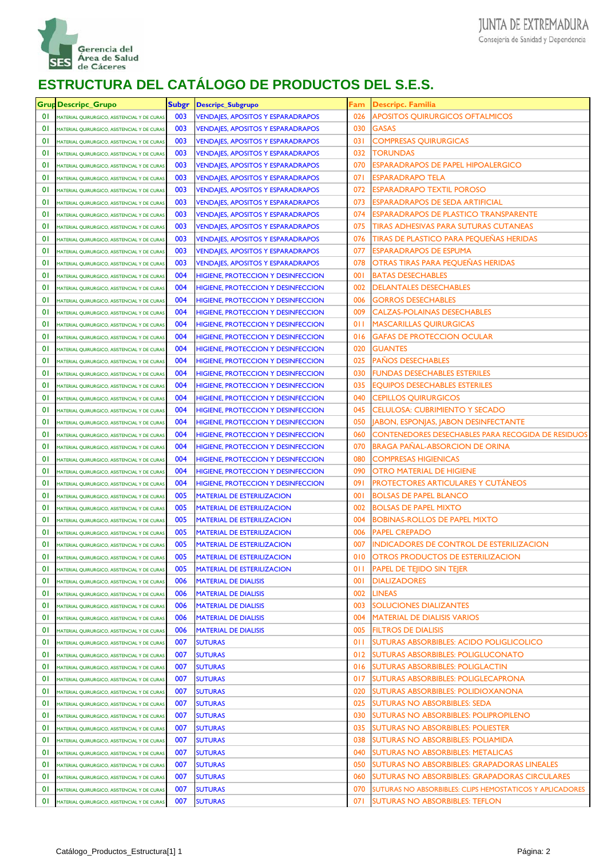

|                | Grup Descripc_Grupo                         | <b>Subgr</b> | <b>Descripc_Subgrupo</b>                  | Fam | <b>Descripc. Familia</b>                                  |
|----------------|---------------------------------------------|--------------|-------------------------------------------|-----|-----------------------------------------------------------|
| 01             | MATERIAL QUIRURGICO, ASISTENCIAL Y DE CURAS | 003          | <b>VENDAJES, APOSITOS Y ESPARADRAPOS</b>  | 026 | <b>APOSITOS QUIRURGICOS OFTALMICOS</b>                    |
| 01             | MATERIAL QUIRURGICO, ASISTENCIAL Y DE CURAS | 003          | <b>VENDAJES, APOSITOS Y ESPARADRAPOS</b>  | 030 | <b>GASAS</b>                                              |
| $\overline{0}$ | MATERIAL QUIRURGICO, ASISTENCIAL Y DE CURAS | 003          | <b>VENDAJES, APOSITOS Y ESPARADRAPOS</b>  | 031 | <b>COMPRESAS QUIRURGICAS</b>                              |
| $\overline{0}$ | MATERIAL QUIRURGICO, ASISTENCIAL Y DE CURAS | 003          | <b>VENDAJES, APOSITOS Y ESPARADRAPOS</b>  | 032 | <b>TORUNDAS</b>                                           |
| $\overline{0}$ | MATERIAL QUIRURGICO, ASISTENCIAL Y DE CURAS | 003          | <b>VENDAJES, APOSITOS Y ESPARADRAPOS</b>  | 070 | ESPARADRAPOS DE PAPEL HIPOALERGICO                        |
| $\overline{0}$ | MATERIAL QUIRURGICO, ASISTENCIAL Y DE CURAS | 003          | <b>VENDAJES, APOSITOS Y ESPARADRAPOS</b>  | 071 | <b>ESPARADRAPO TELA</b>                                   |
| $\overline{0}$ | MATERIAL QUIRURGICO, ASISTENCIAL Y DE CURAS | 003          | <b>VENDAJES, APOSITOS Y ESPARADRAPOS</b>  | 072 | <b>ESPARADRAPO TEXTIL POROSO</b>                          |
| $\overline{0}$ | MATERIAL QUIRURGICO, ASISTENCIAL Y DE CURAS | 003          | <b>VENDAJES, APOSITOS Y ESPARADRAPOS</b>  | 073 | ESPARADRAPOS DE SEDA ARTIFICIAL                           |
| $\overline{0}$ | MATERIAL QUIRURGICO, ASISTENCIAL Y DE CURAS | 003          | <b>VENDAJES, APOSITOS Y ESPARADRAPOS</b>  | 074 | <b>ESPARADRAPOS DE PLASTICO TRANSPARENTE</b>              |
| $\overline{0}$ | MATERIAL QUIRURGICO, ASISTENCIAL Y DE CURAS | 003          | <b>VENDAJES, APOSITOS Y ESPARADRAPOS</b>  | 075 | TIRAS ADHESIVAS PARA SUTURAS CUTANEAS                     |
| $\overline{0}$ | MATERIAL QUIRURGICO, ASISTENCIAL Y DE CURAS | 003          | <b>VENDAJES, APOSITOS Y ESPARADRAPOS</b>  | 076 | <b>TIRAS DE PLASTICO PARA PEQUEÑAS HERIDAS</b>            |
| $\overline{0}$ | MATERIAL QUIRURGICO, ASISTENCIAL Y DE CURAS | 003          | <b>VENDAJES, APOSITOS Y ESPARADRAPOS</b>  | 077 | ESPARADRAPOS DE ESPUMA                                    |
| $\overline{0}$ | MATERIAL QUIRURGICO, ASISTENCIAL Y DE CURAS | 003          | <b>VENDAJES, APOSITOS Y ESPARADRAPOS</b>  | 078 | OTRAS TIRAS PARA PEQUEÑAS HERIDAS                         |
| $\overline{0}$ | MATERIAL QUIRURGICO, ASISTENCIAL Y DE CURAS | 004          | <b>HIGIENE, PROTECCION Y DESINFECCION</b> | 001 | <b>BATAS DESECHABLES</b>                                  |
| $\overline{0}$ | MATERIAL QUIRURGICO, ASISTENCIAL Y DE CURAS | 004          | <b>HIGIENE, PROTECCION Y DESINFECCION</b> | 002 | <b>DELANTALES DESECHABLES</b>                             |
| $\overline{0}$ | MATERIAL QUIRURGICO, ASISTENCIAL Y DE CURAS | 004          | <b>HIGIENE, PROTECCION Y DESINFECCION</b> | 006 | <b>GORROS DESECHABLES</b>                                 |
| $\overline{0}$ | MATERIAL QUIRURGICO, ASISTENCIAL Y DE CURAS | 004          | <b>HIGIENE, PROTECCION Y DESINFECCION</b> | 009 | <b>CALZAS-POLAINAS DESECHABLES</b>                        |
| $\overline{0}$ | MATERIAL QUIRURGICO, ASISTENCIAL Y DE CURAS | 004          | <b>HIGIENE, PROTECCION Y DESINFECCION</b> | 011 | <b>MASCARILLAS QUIRURGICAS</b>                            |
| $\overline{0}$ | MATERIAL QUIRURGICO, ASISTENCIAL Y DE CURAS | 004          | <b>HIGIENE, PROTECCION Y DESINFECCION</b> | 016 | <b>GAFAS DE PROTECCION OCULAR</b>                         |
| $\overline{0}$ | MATERIAL QUIRURGICO, ASISTENCIAL Y DE CURAS | 004          | <b>HIGIENE, PROTECCION Y DESINFECCION</b> | 020 | <b>GUANTES</b>                                            |
| $\overline{0}$ | MATERIAL QUIRURGICO, ASISTENCIAL Y DE CURAS | 004          | <b>HIGIENE, PROTECCION Y DESINFECCION</b> | 025 | <b>PAÑOS DESECHABLES</b>                                  |
| $\overline{0}$ | MATERIAL QUIRURGICO, ASISTENCIAL Y DE CURAS | 004          | <b>HIGIENE, PROTECCION Y DESINFECCION</b> | 030 | <b>FUNDAS DESECHABLES ESTERILES</b>                       |
| $\overline{0}$ | MATERIAL QUIRURGICO, ASISTENCIAL Y DE CURAS | 004          | <b>HIGIENE, PROTECCION Y DESINFECCION</b> | 035 | <b>EQUIPOS DESECHABLES ESTERILES</b>                      |
| $\overline{0}$ | MATERIAL QUIRURGICO, ASISTENCIAL Y DE CURAS | 004          | <b>HIGIENE, PROTECCION Y DESINFECCION</b> | 040 | <b>CEPILLOS QUIRURGICOS</b>                               |
| $\overline{0}$ | MATERIAL QUIRURGICO, ASISTENCIAL Y DE CURAS | 004          | <b>HIGIENE, PROTECCION Y DESINFECCION</b> | 045 | CELULOSA: CUBRIMIENTO Y SECADO                            |
| $\overline{0}$ | MATERIAL QUIRURGICO, ASISTENCIAL Y DE CURAS | 004          | <b>HIGIENE, PROTECCION Y DESINFECCION</b> | 050 | <b>ABON, ESPONJAS, JABON DESINFECTANTE</b>                |
| $\overline{0}$ | MATERIAL QUIRURGICO, ASISTENCIAL Y DE CURAS | 004          | <b>HIGIENE, PROTECCION Y DESINFECCION</b> | 060 | <b>CONTENEDORES DESECHABLES PARA RECOGIDA DE RESIDUOS</b> |
| $\overline{0}$ | MATERIAL QUIRURGICO, ASISTENCIAL Y DE CURAS | 004          | <b>HIGIENE, PROTECCION Y DESINFECCION</b> | 070 | <b>BRAGA PAÑAL-ABSORCION DE ORINA</b>                     |
| $\overline{0}$ | MATERIAL QUIRURGICO, ASISTENCIAL Y DE CURAS | 004          | <b>HIGIENE, PROTECCION Y DESINFECCION</b> | 080 | <b>COMPRESAS HIGIENICAS</b>                               |
| $\overline{0}$ | MATERIAL QUIRURGICO, ASISTENCIAL Y DE CURAS | 004          | <b>HIGIENE, PROTECCION Y DESINFECCION</b> | 090 | <b>OTRO MATERIAL DE HIGIENE</b>                           |
| $\overline{0}$ | MATERIAL QUIRURGICO, ASISTENCIAL Y DE CURAS | 004          | <b>HIGIENE, PROTECCION Y DESINFECCION</b> | 091 | <b>PROTECTORES ARTICULARES Y CUTÁNEOS</b>                 |
| $\overline{0}$ | MATERIAL QUIRURGICO, ASISTENCIAL Y DE CURAS | 005          | <b>MATERIAL DE ESTERILIZACION</b>         | 001 | <b>BOLSAS DE PAPEL BLANCO</b>                             |
| $\overline{0}$ | MATERIAL QUIRURGICO, ASISTENCIAL Y DE CURAS | 005          | <b>MATERIAL DE ESTERILIZACION</b>         | 002 | <b>BOLSAS DE PAPEL MIXTO</b>                              |
| $\overline{0}$ | MATERIAL QUIRURGICO, ASISTENCIAL Y DE CURAS | 005          | <b>MATERIAL DE ESTERILIZACION</b>         | 004 | <b>BOBINAS-ROLLOS DE PAPEL MIXTO</b>                      |
| 01             | MATERIAL QUIRURGICO, ASISTENCIAL Y DE CURAS | 005          | MATERIAL DE ESTERILIZACION                | 006 | <b>PAPEL CREPADO</b>                                      |
| $\overline{0}$ | MATERIAL QUIRURGICO, ASISTENCIAL Y DE CURAS | 005          | <b>MATERIAL DE ESTERILIZACION</b>         | 007 | <b>INDICADORES DE CONTROL DE ESTERILIZACION</b>           |
| $\overline{0}$ | MATERIAL QUIRURGICO, ASISTENCIAL Y DE CURAS | 005          | <b>MATERIAL DE ESTERILIZACION</b>         | 010 | <b>OTROS PRODUCTOS DE ESTERILIZACION</b>                  |
| 01             | MATERIAL QUIRURGICO, ASISTENCIAL Y DE CURAS | 005          | <b>MATERIAL DE ESTERILIZACION</b>         | 011 | <b>PAPEL DE TEJIDO SIN TEJER</b>                          |
| $\overline{0}$ | MATERIAL QUIRURGICO, ASISTENCIAL Y DE CURAS | 006          | <b>MATERIAL DE DIALISIS</b>               | 001 | <b>DIALIZADORES</b>                                       |
| $\overline{0}$ | MATERIAL QUIRURGICO, ASISTENCIAL Y DE CURAS | 006          | <b>MATERIAL DE DIALISIS</b>               | 002 | <b>LINEAS</b>                                             |
| $\overline{0}$ | MATERIAL QUIRURGICO, ASISTENCIAL Y DE CURAS | 006          | <b>MATERIAL DE DIALISIS</b>               | 003 | <b>SOLUCIONES DIALIZANTES</b>                             |
| $\overline{0}$ | MATERIAL QUIRURGICO, ASISTENCIAL Y DE CURAS | 006          | <b>MATERIAL DE DIALISIS</b>               | 004 | <b>MATERIAL DE DIALISIS VARIOS</b>                        |
| $\overline{0}$ | MATERIAL QUIRURGICO, ASISTENCIAL Y DE CURAS | 006          | <b>MATERIAL DE DIALISIS</b>               | 005 | <b>FILTROS DE DIALISIS</b>                                |
| $\overline{0}$ | MATERIAL QUIRURGICO, ASISTENCIAL Y DE CURAS | 007          | <b>SUTURAS</b>                            | 011 | SUTURAS ABSORBIBLES: ACIDO POLIGLICOLICO                  |
| $\overline{0}$ | MATERIAL QUIRURGICO, ASISTENCIAL Y DE CURAS | 007          | <b>SUTURAS</b>                            | 012 | <b>SUTURAS ABSORBIBLES: POLIGLUCONATO</b>                 |
| $\overline{0}$ | MATERIAL QUIRURGICO, ASISTENCIAL Y DE CURAS | 007          | <b>SUTURAS</b>                            | 016 | <b>SUTURAS ABSORBIBLES: POLIGLACTIN</b>                   |
| $\overline{0}$ | MATERIAL QUIRURGICO, ASISTENCIAL Y DE CURAS | 007          | <b>SUTURAS</b>                            | 017 | SUTURAS ABSORBIBLES: POLIGLECAPRONA                       |
| $\overline{0}$ | MATERIAL QUIRURGICO, ASISTENCIAL Y DE CURAS | 007          | <b>SUTURAS</b>                            | 020 | SUTURAS ABSORBIBLES: POLIDIOXANONA                        |
| $\overline{0}$ | MATERIAL QUIRURGICO, ASISTENCIAL Y DE CURAS | 007          | <b>SUTURAS</b>                            | 025 | <b>SUTURAS NO ABSORBIBLES: SEDA</b>                       |
| $\overline{0}$ | MATERIAL QUIRURGICO, ASISTENCIAL Y DE CURAS | 007          | <b>SUTURAS</b>                            | 030 | SUTURAS NO ABSORBIBLES: POLIPROPILENO                     |
| $\overline{0}$ | MATERIAL QUIRURGICO, ASISTENCIAL Y DE CURAS | 007          | <b>SUTURAS</b>                            | 035 | <b>SUTURAS NO ABSORBIBLES: POLIESTER</b>                  |
| $\overline{0}$ | MATERIAL QUIRURGICO, ASISTENCIAL Y DE CURAS | 007          | <b>SUTURAS</b>                            | 038 | SUTURAS NO ABSORBIBLES: POLIAMIDA                         |
| $\overline{0}$ | MATERIAL QUIRURGICO, ASISTENCIAL Y DE CURAS | 007          | <b>SUTURAS</b>                            | 040 | <b>SUTURAS NO ABSORBIBLES: METALICAS</b>                  |
| $\overline{0}$ | MATERIAL QUIRURGICO, ASISTENCIAL Y DE CURAS | 007          | <b>SUTURAS</b>                            | 050 | SUTURAS NO ABSORBIBLES: GRAPADORAS LINEALES               |
| $\overline{0}$ | MATERIAL QUIRURGICO, ASISTENCIAL Y DE CURAS | 007          | <b>SUTURAS</b>                            | 060 | SUTURAS NO ABSORBIBLES: GRAPADORAS CIRCULARES             |
| $\overline{0}$ | MATERIAL QUIRURGICO, ASISTENCIAL Y DE CURAS | 007          | <b>SUTURAS</b>                            | 070 | SUTURAS NO ABSORBIBLES: CLIPS HEMOSTATICOS Y APLICADORES  |
| 01             | MATERIAL QUIRURGICO, ASISTENCIAL Y DE CURAS | 007          | <b>SUTURAS</b>                            | 071 | <b>SUTURAS NO ABSORBIBLES: TEFLON</b>                     |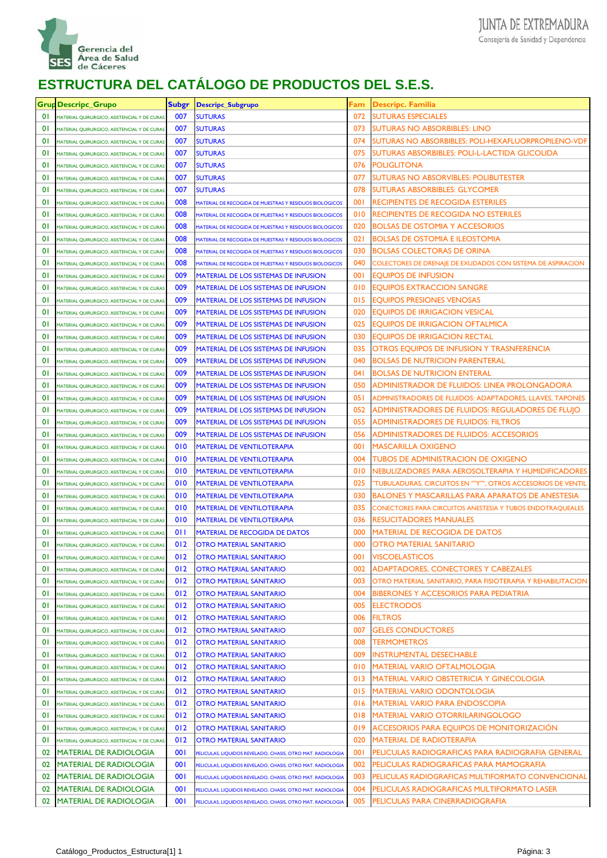

|                | <b>Grup Descripc_Grupo</b>                  | Subgr | Descripc_Subgrupo                                          | <sup>=</sup> am | Descripc. Familia                                            |
|----------------|---------------------------------------------|-------|------------------------------------------------------------|-----------------|--------------------------------------------------------------|
| 01             | MATERIAL QUIRURGICO, ASISTENCIAL Y DE CURAS | 007   | <b>SUTURAS</b>                                             | 072             | <b>SUTURAS ESPECIALES</b>                                    |
| 0 <sup>1</sup> | MATERIAL QUIRURGICO, ASISTENCIAL Y DE CURAS | 007   | <b>SUTURAS</b>                                             | 073             | <b>SUTURAS NO ABSORBIBLES: LINO</b>                          |
| 0 <sup>1</sup> | MATERIAL QUIRURGICO, ASISTENCIAL Y DE CURAS | 007   | <b>SUTURAS</b>                                             | 074             | SUTURAS NO ABSORBIBLES: POLI-HEXAFLUORPROPILENO-VDF          |
| 0 <sup>1</sup> | MATERIAL QUIRURGICO, ASISTENCIAL Y DE CURAS | 007   | <b>SUTURAS</b>                                             | 075             | SUTURAS ABSORBIBLES: POLI-L-LACTIDA GLICOLIDA                |
| $\overline{0}$ | MATERIAL QUIRURGICO, ASISTENCIAL Y DE CURAS | 007   | <b>SUTURAS</b>                                             | 076             | POLIGLITONA                                                  |
| $\overline{0}$ | MATERIAL QUIRURGICO, ASISTENCIAL Y DE CURAS | 007   | <b>SUTURAS</b>                                             | 077             | SUTURAS NO ABSORVIBLES: POLIBUTESTER                         |
| $\overline{0}$ | MATERIAL QUIRURGICO, ASISTENCIAL Y DE CURAS | 007   | <b>SUTURAS</b>                                             | 078             | SUTURAS ABSORBIBLES: GLYCOMER                                |
| $\overline{0}$ | MATERIAL QUIRURGICO, ASISTENCIAL Y DE CURAS | 008   | MATERIAL DE RECOGIDA DE MUESTRAS Y RESIDUOS BIOLOGICOS     | 001             | <b>RECIPIENTES DE RECOGIDA ESTERILES</b>                     |
| $\overline{0}$ | MATERIAL QUIRURGICO, ASISTENCIAL Y DE CURAS | 008   | MATERIAL DE RECOGIDA DE MUESTRAS Y RESIDUOS BIOLOGICOS     | 010             | <b>RECIPIENTES DE RECOGIDA NO ESTERILES</b>                  |
| $\overline{0}$ | MATERIAL QUIRURGICO, ASISTENCIAL Y DE CURAS | 008   | MATERIAL DE RECOGIDA DE MUESTRAS Y RESIDUOS BIOLOGICOS     | 020             | <b>BOLSAS DE OSTOMIA Y ACCESORIOS</b>                        |
| $\overline{0}$ | MATERIAL QUIRURGICO, ASISTENCIAL Y DE CURAS | 008   | MATERIAL DE RECOGIDA DE MUESTRAS Y RESIDUOS BIOLOGICOS     | 021             | <b>BOLSAS DE OSTOMIA E ILEOSTOMIA</b>                        |
| $\overline{0}$ | MATERIAL QUIRURGICO, ASISTENCIAL Y DE CURAS | 008   | MATERIAL DE RECOGIDA DE MUESTRAS Y RESIDUOS BIOLOGICOS     | 030             | <b>BOLSAS COLECTORAS DE ORINA</b>                            |
| $\overline{0}$ | MATERIAL QUIRURGICO, ASISTENCIAL Y DE CURAS | 008   | MATERIAL DE RECOGIDA DE MUESTRAS Y RESIDUOS BIOLOGICOS     | 040             | COLECTORES DE DRENAJE DE EXUDADOS CON SISTEMA DE ASPIRACION  |
| $\overline{0}$ | MATERIAL QUIRURGICO, ASISTENCIAL Y DE CURAS | 009   | <b>MATERIAL DE LOS SISTEMAS DE INFUSION</b>                | 001             | <b>EQUIPOS DE INFUSION</b>                                   |
| $\overline{0}$ | MATERIAL QUIRURGICO, ASISTENCIAL Y DE CURAS | 009   | <b>MATERIAL DE LOS SISTEMAS DE INFUSION</b>                | 010             | <b>EQUIPOS EXTRACCION SANGRE</b>                             |
| $\overline{0}$ | MATERIAL QUIRURGICO, ASISTENCIAL Y DE CURAS | 009   | <b>MATERIAL DE LOS SISTEMAS DE INFUSION</b>                | 015             | <b>EQUIPOS PRESIONES VENOSAS</b>                             |
| $\overline{0}$ | MATERIAL QUIRURGICO, ASISTENCIAL Y DE CURAS | 009   | MATERIAL DE LOS SISTEMAS DE INFUSION                       | 020             | <b>EQUIPOS DE IRRIGACION VESICAL</b>                         |
| $\overline{0}$ | MATERIAL QUIRURGICO, ASISTENCIAL Y DE CURAS | 009   | MATERIAL DE LOS SISTEMAS DE INFUSION                       | 025             | <b>EQUIPOS DE IRRIGACION OFTALMICA</b>                       |
| $\overline{0}$ | MATERIAL QUIRURGICO, ASISTENCIAL Y DE CURAS | 009   | <b>MATERIAL DE LOS SISTEMAS DE INFUSION</b>                | 030             | <b>EQUIPOS DE IRRIGACION RECTAL</b>                          |
| $\overline{0}$ | MATERIAL QUIRURGICO, ASISTENCIAL Y DE CURAS | 009   | MATERIAL DE LOS SISTEMAS DE INFUSION                       | 035             | OTROS EQUIPOS DE INFUSION Y TRASNFERENCIA                    |
| $\overline{0}$ | MATERIAL QUIRURGICO, ASISTENCIAL Y DE CURAS | 009   | <b>MATERIAL DE LOS SISTEMAS DE INFUSION</b>                | 040             | <b>BOLSAS DE NUTRICION PARENTERAL</b>                        |
| $\overline{0}$ | MATERIAL QUIRURGICO, ASISTENCIAL Y DE CURAS | 009   | MATERIAL DE LOS SISTEMAS DE INFUSION                       | 041             | <b>BOLSAS DE NUTRICION ENTERAL</b>                           |
| $\overline{0}$ | MATERIAL QUIRURGICO, ASISTENCIAL Y DE CURAS | 009   | MATERIAL DE LOS SISTEMAS DE INFUSION                       | 050             | ADMINISTRADOR DE FLUIDOS: LINEA PROLONGADORA                 |
| $\overline{0}$ | MATERIAL QUIRURGICO, ASISTENCIAL Y DE CURAS | 009   | <b>MATERIAL DE LOS SISTEMAS DE INFUSION</b>                | 051             | ADMNISTRADORES DE FLUIDOS: ADAPTADORES, LLAVES, TAPONES      |
| $\overline{0}$ | MATERIAL QUIRURGICO, ASISTENCIAL Y DE CURAS | 009   | MATERIAL DE LOS SISTEMAS DE INFUSION                       | 052             | ADMINISTRADORES DE FLUIDOS: REGULADORES DE FLUJO             |
| $\overline{0}$ | MATERIAL QUIRURGICO, ASISTENCIAL Y DE CURAS | 009   | <b>MATERIAL DE LOS SISTEMAS DE INFUSION</b>                | 055             | <b>ADMINISTRADORES DE FLUIDOS: FILTROS</b>                   |
| $\overline{0}$ | MATERIAL QUIRURGICO, ASISTENCIAL Y DE CURAS | 009   | MATERIAL DE LOS SISTEMAS DE INFUSION                       | 056             | <b>ADMINISTRADORES DE FLUIDOS: ACCESORIOS</b>                |
| $\overline{0}$ | MATERIAL QUIRURGICO, ASISTENCIAL Y DE CURAS | 010   | <b>MATERIAL DE VENTILOTERAPIA</b>                          | 001             | <b>MASCARILLA OXIGENO</b>                                    |
| $\overline{0}$ | MATERIAL QUIRURGICO, ASISTENCIAL Y DE CURAS | 010   | <b>MATERIAL DE VENTILOTERAPIA</b>                          | 004             | <b>TUBOS DE ADMINISTRACION DE OXIGENO</b>                    |
| $\overline{0}$ | MATERIAL QUIRURGICO, ASISTENCIAL Y DE CURAS | 010   | <b>MATERIAL DE VENTILOTERAPIA</b>                          | 010             | NEBULIZADORES PARA AEROSOLTERAPIA Y HUMIDIFICADORES          |
| $\overline{0}$ | MATERIAL QUIRURGICO, ASISTENCIAL Y DE CURAS | 010   | <b>MATERIAL DE VENTILOTERAPIA</b>                          | 025             | 'TUBULADURAS, CIRCUITOS EN ""Y"", OTROS ACCESORIOS DE VENTIL |
| $\overline{0}$ | MATERIAL QUIRURGICO, ASISTENCIAL Y DE CURAS | 010   | <b>MATERIAL DE VENTILOTERAPIA</b>                          | 030             | <b>BALONES Y MASCARILLAS PARA APARATOS DE ANESTESIA</b>      |
| $\overline{0}$ | MATERIAL QUIRURGICO, ASISTENCIAL Y DE CURAS | 010   | <b>MATERIAL DE VENTILOTERAPIA</b>                          | 035             | CONECTORES PARA CIRCUITOS ANESTESIA Y TUBOS ENDOTRAQUEALES   |
| $\overline{0}$ | MATERIAL QUIRURGICO, ASISTENCIAL Y DE CURAS | 010   | <b>MATERIAL DE VENTILOTERAPIA</b>                          | 036             | RESUCITADORES MANUALES                                       |
| $\overline{0}$ | MATERIAL QUIRURGICO, ASISTENCIAL Y DE CURAS | 011   | <b>MATERIAL DE RECOGIDA DE DATOS</b>                       | 000             | <b>MATERIAL DE RECOGIDA DE DATOS</b>                         |
| $\overline{0}$ | MATERIAL QUIRURGICO, ASISTENCIAL Y DE CURAS | 012   | <b>OTRO MATERIAL SANITARIO</b>                             | 000             | OTRO MATERIAL SANITARIO                                      |
| $\overline{0}$ | MATERIAL QUIRURGICO, ASISTENCIAL Y DE CURAS | 012   | <b>OTRO MATERIAL SANITARIO</b>                             | 100             | <b>VISCOELASTICOS</b>                                        |
| 01             | MATERIAL QUIRURGICO, ASISTENCIAL Y DE CURAS | 012   | <b>OTRO MATERIAL SANITARIO</b>                             | 002             | ADAPTADORES, CONECTORES Y CABEZALES                          |
| $\overline{0}$ | MATERIAL QUIRURGICO, ASISTENCIAL Y DE CURAS | 012   | <b>OTRO MATERIAL SANITARIO</b>                             | 003             | OTRO MATERIAL SANITARIO, PARA FISIOTERAPIA Y REHABILITACION  |
| $\overline{0}$ | MATERIAL QUIRURGICO, ASISTENCIAL Y DE CURAS | 012   | <b>OTRO MATERIAL SANITARIO</b>                             | 004             | <b>BIBERONES Y ACCESORIOS PARA PEDIATRIA</b>                 |
| $\overline{0}$ | MATERIAL QUIRURGICO, ASISTENCIAL Y DE CURAS | 012   | <b>OTRO MATERIAL SANITARIO</b>                             | 005             | <b>ELECTRODOS</b>                                            |
| $\overline{0}$ | MATERIAL QUIRURGICO, ASISTENCIAL Y DE CURAS | 012   | <b>OTRO MATERIAL SANITARIO</b>                             | 006             | FILTROS                                                      |
| $\overline{0}$ | MATERIAL QUIRURGICO, ASISTENCIAL Y DE CURAS | 012   | <b>OTRO MATERIAL SANITARIO</b>                             | 007             | <b>GELES CONDUCTORES</b>                                     |
| $\overline{0}$ | MATERIAL QUIRURGICO, ASISTENCIAL Y DE CURAS | 012   | <b>OTRO MATERIAL SANITARIO</b>                             | 008             | <b>TERMOMETROS</b>                                           |
| $\overline{0}$ | MATERIAL QUIRURGICO, ASISTENCIAL Y DE CURAS | 012   | <b>OTRO MATERIAL SANITARIO</b>                             | 009             | INSTRUMENTAL DESECHABLE                                      |
| $\overline{0}$ | MATERIAL QUIRURGICO, ASISTENCIAL Y DE CURAS | 012   | <b>OTRO MATERIAL SANITARIO</b>                             | 010             | MATERIAL VARIO OFTALMOLOGIA                                  |
| $\overline{0}$ | MATERIAL QUIRURGICO, ASISTENCIAL Y DE CURAS | 012   | <b>OTRO MATERIAL SANITARIO</b>                             | 013             | MATERIAL VARIO OBSTETRICIA Y GINECOLOGIA                     |
| $\overline{0}$ | MATERIAL QUIRURGICO, ASISTENCIAL Y DE CURAS | 012   | <b>OTRO MATERIAL SANITARIO</b>                             | 015             | <b>MATERIAL VARIO ODONTOLOGIA</b>                            |
| $\overline{0}$ | MATERIAL QUIRURGICO, ASISTENCIAL Y DE CURAS | 012   | <b>OTRO MATERIAL SANITARIO</b>                             | 016             | MATERIAL VARIO PARA ENDOSCOPIA                               |
| $\overline{0}$ | MATERIAL QUIRURGICO, ASISTENCIAL Y DE CURAS | 012   | <b>OTRO MATERIAL SANITARIO</b>                             | 018             | <b>MATERIAL VARIO OTORRILARINGOLOGO</b>                      |
| $\overline{0}$ | MATERIAL QUIRURGICO, ASISTENCIAL Y DE CURAS | 012   | <b>OTRO MATERIAL SANITARIO</b>                             | 019             | ACCESORIOS PARA EQUIPOS DE MONITORIZACION                    |
| $\overline{0}$ | MATERIAL QUIRURGICO, ASISTENCIAL Y DE CURAS | 012   | <b>OTRO MATERIAL SANITARIO</b>                             | 020             | MATERIAL DE RADIOTERAPIA                                     |
| 02             | <b>MATERIAL DE RADIOLOGIA</b>               | 001   | PELICULAS, LIQUIDOS REVELADO, CHASIS, OTRO MAT. RADIOLOGIA | 001             | PELICULAS RADIOGRAFICAS PARA RADIOGRAFIA GENERAL             |
| 02             | <b>MATERIAL DE RADIOLOGIA</b>               | 001   | PELICULAS, LIQUIDOS REVELADO, CHASIS, OTRO MAT. RADIOLOGIA | 002             | PELICULAS RADIOGRAFICAS PARA MAMOGRAFIA                      |
| 02             | <b>MATERIAL DE RADIOLOGIA</b>               | 001   | PELICULAS, LIQUIDOS REVELADO, CHASIS, OTRO MAT. RADIOLOGIA | 003             | PELICULAS RADIOGRAFICAS MULTIFORMATO CONVENCIONAL            |
| 02             | <b>MATERIAL DE RADIOLOGIA</b>               | 001   | PELICULAS, LIQUIDOS REVELADO, CHASIS, OTRO MAT. RADIOLOGIA | 004             | PELICULAS RADIOGRAFICAS MULTIFORMATO LASER                   |
| 02             | <b>MATERIAL DE RADIOLOGIA</b>               | 001   | PELICULAS, LIQUIDOS REVELADO, CHASIS, OTRO MAT. RADIOLOGIA | 005             | PELICULAS PARA CINERRADIOGRAFIA                              |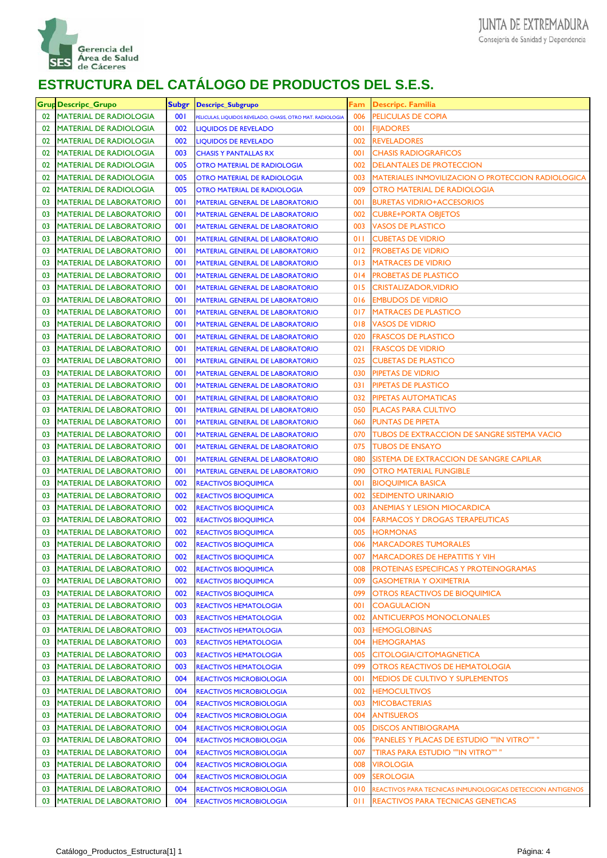

|    | <b>Grup Descripc_Grupo</b>     | <b>Subgr</b> | Descripc_Subgrupo                                          | Fam | <b>Descripc. Familia</b>                                  |
|----|--------------------------------|--------------|------------------------------------------------------------|-----|-----------------------------------------------------------|
| 02 | <b>MATERIAL DE RADIOLOGIA</b>  | 001          | PELICULAS, LIQUIDOS REVELADO, CHASIS, OTRO MAT. RADIOLOGIA | 006 | <b>PELICULAS DE COPIA</b>                                 |
| 02 | <b>MATERIAL DE RADIOLOGIA</b>  | 002          | <b>LIQUIDOS DE REVELADO</b>                                | 001 | <b>FIJADORES</b>                                          |
| 02 | <b>MATERIAL DE RADIOLOGIA</b>  | 002          | <b>LIQUIDOS DE REVELADO</b>                                | 002 | <b>REVELADORES</b>                                        |
| 02 | <b>MATERIAL DE RADIOLOGIA</b>  | 003          | <b>CHASIS Y PANTALLAS RX</b>                               | 001 | <b>CHASIS RADIOGRAFICOS</b>                               |
| 02 | <b>MATERIAL DE RADIOLOGIA</b>  | 005          | <b>OTRO MATERIAL DE RADIOLOGIA</b>                         | 002 | <b>DELANTALES DE PROTECCION</b>                           |
| 02 | <b>MATERIAL DE RADIOLOGIA</b>  | 005          | <b>OTRO MATERIAL DE RADIOLOGIA</b>                         | 003 | <b>MATERIALES INMOVILIZACION O PROTECCION RADIOLOGICA</b> |
| 02 | <b>MATERIAL DE RADIOLOGIA</b>  | 005          | <b>OTRO MATERIAL DE RADIOLOGIA</b>                         | 009 | OTRO MATERIAL DE RADIOLOGIA                               |
| 03 | <b>MATERIAL DE LABORATORIO</b> | 001          | <b>MATERIAL GENERAL DE LABORATORIO</b>                     | 001 | <b>BURETAS VIDRIO+ACCESORIOS</b>                          |
| 03 | <b>MATERIAL DE LABORATORIO</b> | 001          | <b>MATERIAL GENERAL DE LABORATORIO</b>                     | 002 | <b>CUBRE+PORTA OBJETOS</b>                                |
| 03 | <b>MATERIAL DE LABORATORIO</b> | 001          | <b>MATERIAL GENERAL DE LABORATORIO</b>                     | 003 | <b>VASOS DE PLASTICO</b>                                  |
| 03 | <b>MATERIAL DE LABORATORIO</b> | 001          | <b>MATERIAL GENERAL DE LABORATORIO</b>                     | 011 | <b>CUBETAS DE VIDRIO</b>                                  |
| 03 | <b>MATERIAL DE LABORATORIO</b> | 001          | <b>MATERIAL GENERAL DE LABORATORIO</b>                     | 012 | <b>PROBETAS DE VIDRIO</b>                                 |
| 03 | <b>MATERIAL DE LABORATORIO</b> | 001          | <b>MATERIAL GENERAL DE LABORATORIO</b>                     | 013 | <b>MATRACES DE VIDRIO</b>                                 |
| 03 | <b>MATERIAL DE LABORATORIO</b> | 001          | <b>MATERIAL GENERAL DE LABORATORIO</b>                     | 014 | <b>PROBETAS DE PLASTICO</b>                               |
| 03 | <b>MATERIAL DE LABORATORIO</b> | 001          | <b>MATERIAL GENERAL DE LABORATORIO</b>                     | 015 | <b>CRISTALIZADOR, VIDRIO</b>                              |
| 03 | <b>MATERIAL DE LABORATORIO</b> | 001          | <b>MATERIAL GENERAL DE LABORATORIO</b>                     | 016 | <b>EMBUDOS DE VIDRIO</b>                                  |
| 03 | <b>MATERIAL DE LABORATORIO</b> | 001          | <b>MATERIAL GENERAL DE LABORATORIO</b>                     | 017 | <b>MATRACES DE PLASTICO</b>                               |
| 03 | <b>MATERIAL DE LABORATORIO</b> | 001          | <b>MATERIAL GENERAL DE LABORATORIO</b>                     | 018 | <b>VASOS DE VIDRIO</b>                                    |
| 03 | <b>MATERIAL DE LABORATORIO</b> | 001          | <b>MATERIAL GENERAL DE LABORATORIO</b>                     | 020 | <b>FRASCOS DE PLASTICO</b>                                |
| 03 | <b>MATERIAL DE LABORATORIO</b> | 001          | <b>MATERIAL GENERAL DE LABORATORIO</b>                     | 021 | <b>FRASCOS DE VIDRIO</b>                                  |
| 03 | <b>MATERIAL DE LABORATORIO</b> | 001          | <b>MATERIAL GENERAL DE LABORATORIO</b>                     | 025 | <b>CUBETAS DE PLASTICO</b>                                |
| 03 | <b>MATERIAL DE LABORATORIO</b> | 001          | <b>MATERIAL GENERAL DE LABORATORIO</b>                     | 030 | PIPETAS DE VIDRIO                                         |
| 03 | <b>MATERIAL DE LABORATORIO</b> | 001          | <b>MATERIAL GENERAL DE LABORATORIO</b>                     | 031 | PIPETAS DE PLASTICO                                       |
| 03 | <b>MATERIAL DE LABORATORIO</b> | 001          | <b>MATERIAL GENERAL DE LABORATORIO</b>                     | 032 | PIPETAS AUTOMATICAS                                       |
| 03 | <b>MATERIAL DE LABORATORIO</b> | 001          | <b>MATERIAL GENERAL DE LABORATORIO</b>                     | 050 | <b>PLACAS PARA CULTIVO</b>                                |
| 03 | <b>MATERIAL DE LABORATORIO</b> | 001          | <b>MATERIAL GENERAL DE LABORATORIO</b>                     | 060 | PUNTAS DE PIPETA                                          |
| 03 | <b>MATERIAL DE LABORATORIO</b> | 001          | <b>MATERIAL GENERAL DE LABORATORIO</b>                     | 070 | <b>TUBOS DE EXTRACCION DE SANGRE SISTEMA VACIO</b>        |
| 03 | <b>MATERIAL DE LABORATORIO</b> | 001          | <b>MATERIAL GENERAL DE LABORATORIO</b>                     | 075 | <b>TUBOS DE ENSAYO</b>                                    |
| 03 | <b>MATERIAL DE LABORATORIO</b> | 001          | <b>MATERIAL GENERAL DE LABORATORIO</b>                     | 080 | SISTEMA DE EXTRACCION DE SANGRE CAPILAR                   |
| 03 | <b>MATERIAL DE LABORATORIO</b> | 001          | <b>MATERIAL GENERAL DE LABORATORIO</b>                     | 090 | <b>OTRO MATERIAL FUNGIBLE</b>                             |
| 03 | <b>MATERIAL DE LABORATORIO</b> | 002          | <b>REACTIVOS BIOQUIMICA</b>                                | 001 | <b>BIOQUIMICA BASICA</b>                                  |
| 03 | <b>MATERIAL DE LABORATORIO</b> | 002          | <b>REACTIVOS BIOQUIMICA</b>                                | 002 | <b>SEDIMENTO URINARIO</b>                                 |
| 03 | <b>MATERIAL DE LABORATORIO</b> | 002          | <b>REACTIVOS BIOQUIMICA</b>                                | 003 | <b>ANEMIAS Y LESION MIOCARDICA</b>                        |
| 03 | <b>MATERIAL DE LABORATORIO</b> | 002          | <b>REACTIVOS BIOQUIMICA</b>                                | 004 | <b>FARMACOS Y DROGAS TERAPEUTICAS</b>                     |
| 03 | <b>MATERIAL DE LABORATORIO</b> | 002          | <b>REACTIVOS BIOQUIMICA</b>                                | 005 | <b>HORMONAS</b>                                           |
| 03 | <b>MATERIAL DE LABORATORIO</b> | 002          | <b>REACTIVOS BIOQUIMICA</b>                                | 006 | <b>MARCADORES TUMORALES</b>                               |
| 03 | <b>MATERIAL DE LABORATORIO</b> | 002          | <b>REACTIVOS BIOQUIMICA</b>                                | 007 | <b>MARCADORES DE HEPATITIS Y VIH</b>                      |
| 03 | <b>MATERIAL DE LABORATORIO</b> | 002          | <b>REACTIVOS BIOQUIMICA</b>                                | 008 | <b>PROTEINAS ESPECIFICAS Y PROTEINOGRAMAS</b>             |
| 03 | <b>MATERIAL DE LABORATORIO</b> | 002          | <b>REACTIVOS BIOQUIMICA</b>                                | 009 | <b>GASOMETRIA Y OXIMETRIA</b>                             |
| 03 | <b>MATERIAL DE LABORATORIO</b> | 002          | <b>REACTIVOS BIOQUIMICA</b>                                | 099 | OTROS REACTIVOS DE BIOQUIMICA                             |
| 03 | <b>MATERIAL DE LABORATORIO</b> | 003          | <b>REACTIVOS HEMATOLOGIA</b>                               | 001 | COAGULACION                                               |
| 03 | <b>MATERIAL DE LABORATORIO</b> | 003          | <b>REACTIVOS HEMATOLOGIA</b>                               | 002 | <b>ANTICUERPOS MONOCLONALES</b>                           |
| 03 | <b>MATERIAL DE LABORATORIO</b> | 003          | <b>REACTIVOS HEMATOLOGIA</b>                               | 003 | <b>HEMOGLOBINAS</b>                                       |
| 03 | <b>MATERIAL DE LABORATORIO</b> | 003          | <b>REACTIVOS HEMATOLOGIA</b>                               | 004 | HEMOGRAMAS                                                |
| 03 | <b>MATERIAL DE LABORATORIO</b> | 003          | <b>REACTIVOS HEMATOLOGIA</b>                               | 005 | CITOLOGIA/CITOMAGNETICA                                   |
| 03 | <b>MATERIAL DE LABORATORIO</b> | 003          | <b>REACTIVOS HEMATOLOGIA</b>                               | 099 | OTROS REACTIVOS DE HEMATOLOGIA                            |
| 03 | <b>MATERIAL DE LABORATORIO</b> | 004          | <b>REACTIVOS MICROBIOLOGIA</b>                             | 001 | MEDIOS DE CULTIVO Y SUPLEMENTOS                           |
| 03 | <b>MATERIAL DE LABORATORIO</b> | 004          | <b>REACTIVOS MICROBIOLOGIA</b>                             | 002 | <b>HEMOCULTIVOS</b>                                       |
| 03 | <b>MATERIAL DE LABORATORIO</b> | 004          | <b>REACTIVOS MICROBIOLOGIA</b>                             | 003 | <b>MICOBACTERIAS</b>                                      |
| 03 | <b>MATERIAL DE LABORATORIO</b> | 004          | <b>REACTIVOS MICROBIOLOGIA</b>                             | 004 | <b>ANTISUEROS</b>                                         |
| 03 | <b>MATERIAL DE LABORATORIO</b> | 004          | <b>REACTIVOS MICROBIOLOGIA</b>                             | 005 | <b>DISCOS ANTIBIOGRAMA</b>                                |
| 03 | <b>MATERIAL DE LABORATORIO</b> | 004          | <b>REACTIVOS MICROBIOLOGIA</b>                             | 006 | "PANELES Y PLACAS DE ESTUDIO ""IN VITRO"" "               |
| 03 | <b>MATERIAL DE LABORATORIO</b> | 004          | <b>REACTIVOS MICROBIOLOGIA</b>                             | 007 | "TIRAS PARA ESTUDIO ""IN VITRO"" "                        |
| 03 | <b>MATERIAL DE LABORATORIO</b> | 004          | <b>REACTIVOS MICROBIOLOGIA</b>                             | 008 | VIROLOGIA                                                 |
| 03 | <b>MATERIAL DE LABORATORIO</b> | 004          | <b>REACTIVOS MICROBIOLOGIA</b>                             | 009 | SEROLOGIA                                                 |
| 03 | <b>MATERIAL DE LABORATORIO</b> | 004          | <b>REACTIVOS MICROBIOLOGIA</b>                             | 010 | REACTIVOS PARA TECNICAS INMUNOLOGICAS DETECCION ANTIGENOS |
| 03 | <b>MATERIAL DE LABORATORIO</b> | 004          | <b>REACTIVOS MICROBIOLOGIA</b>                             | 011 | REACTIVOS PARA TECNICAS GENETICAS                         |
|    |                                |              |                                                            |     |                                                           |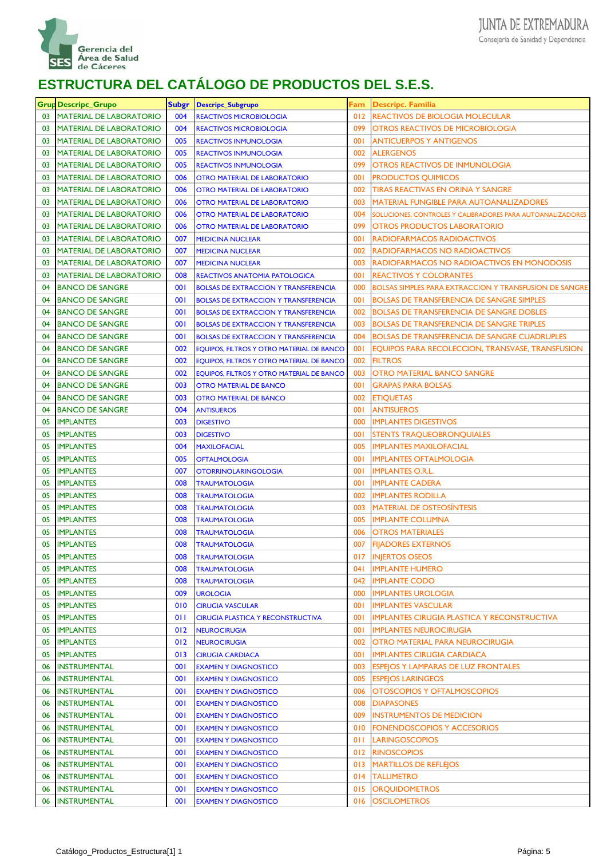

|    | Grup Descripc_Grupo            | Subgr | <b>Descripc_Subgrupo</b>                    |     | Fam Descripc. Familia                                         |
|----|--------------------------------|-------|---------------------------------------------|-----|---------------------------------------------------------------|
| 03 | <b>MATERIAL DE LABORATORIO</b> | 004   | <b>REACTIVOS MICROBIOLOGIA</b>              |     | 012 REACTIVOS DE BIOLOGIA MOLECULAR                           |
| 03 | <b>MATERIAL DE LABORATORIO</b> | 004   | <b>REACTIVOS MICROBIOLOGIA</b>              | 099 | <b>OTROS REACTIVOS DE MICROBIOLOGIA</b>                       |
| 03 | <b>MATERIAL DE LABORATORIO</b> | 005   | <b>REACTIVOS INMUNOLOGIA</b>                | 001 | <b>ANTICUERPOS Y ANTIGENOS</b>                                |
| 03 | <b>MATERIAL DE LABORATORIO</b> | 005   | <b>REACTIVOS INMUNOLOGIA</b>                | 002 | <b>ALERGENOS</b>                                              |
| 03 | <b>MATERIAL DE LABORATORIO</b> | 005   | <b>REACTIVOS INMUNOLOGIA</b>                | 099 | <b>OTROS REACTIVOS DE INMUNOLOGIA</b>                         |
| 03 | <b>MATERIAL DE LABORATORIO</b> | 006   | <b>OTRO MATERIAL DE LABORATORIO</b>         | 001 | <b>PRODUCTOS QUIMICOS</b>                                     |
| 03 | <b>MATERIAL DE LABORATORIO</b> | 006   | <b>OTRO MATERIAL DE LABORATORIO</b>         | 002 | <b>TIRAS REACTIVAS EN ORINA Y SANGRE</b>                      |
| 03 | <b>MATERIAL DE LABORATORIO</b> | 006   | <b>OTRO MATERIAL DE LABORATORIO</b>         | 003 | <b>MATERIAL FUNGIBLE PARA AUTOANALIZADORES</b>                |
| 03 | <b>MATERIAL DE LABORATORIO</b> | 006   | <b>OTRO MATERIAL DE LABORATORIO</b>         | 004 | SOLUCIONES, CONTROLES Y CALIBRADORES PARA AUTOANALIZADORES    |
| 03 | <b>MATERIAL DE LABORATORIO</b> | 006   | <b>OTRO MATERIAL DE LABORATORIO</b>         | 099 | <b>OTROS PRODUCTOS LABORATORIO</b>                            |
| 03 | <b>MATERIAL DE LABORATORIO</b> | 007   | <b>MEDICINA NUCLEAR</b>                     | 001 | RADIOFARMACOS RADIOACTIVOS                                    |
| 03 | <b>MATERIAL DE LABORATORIO</b> | 007   | <b>MEDICINA NUCLEAR</b>                     | 002 | <b>RADIOFARMACOS NO RADIOACTIVOS</b>                          |
| 03 | <b>MATERIAL DE LABORATORIO</b> | 007   | <b>MEDICINA NUCLEAR</b>                     | 003 | RADIOFARMACOS NO RADIOACTIVOS EN MONODOSIS                    |
| 03 | <b>MATERIAL DE LABORATORIO</b> | 008   | <b>REACTIVOS ANATOMIA PATOLOGICA</b>        | 001 | <b>REACTIVOS Y COLORANTES</b>                                 |
| 04 | <b>BANCO DE SANGRE</b>         | 001   | <b>BOLSAS DE EXTRACCION Y TRANSFERENCIA</b> | 000 | <b>BOLSAS SIMPLES PARA EXTRACCION Y TRANSFUSION DE SANGRE</b> |
| 04 | <b>BANCO DE SANGRE</b>         | 001   | <b>BOLSAS DE EXTRACCION Y TRANSFERENCIA</b> | 001 | <b>BOLSAS DE TRANSFERENCIA DE SANGRE SIMPLES</b>              |
| 04 | <b>BANCO DE SANGRE</b>         | 001   | <b>BOLSAS DE EXTRACCION Y TRANSFERENCIA</b> | 002 | <b>BOLSAS DE TRANSFERENCIA DE SANGRE DOBLES</b>               |
|    | <b>BANCO DE SANGRE</b>         | 001   |                                             | 003 |                                                               |
| 04 |                                |       | <b>BOLSAS DE EXTRACCION Y TRANSFERENCIA</b> |     | <b>BOLSAS DE TRANSFERENCIA DE SANGRE TRIPLES</b>              |
| 04 | <b>BANCO DE SANGRE</b>         | 001   | <b>BOLSAS DE EXTRACCION Y TRANSFERENCIA</b> | 004 | <b>BOLSAS DE TRANSFERENCIA DE SANGRE CUADRUPLES</b>           |
| 04 | <b>BANCO DE SANGRE</b>         | 002   | EQUIPOS, FILTROS Y OTRO MATERIAL DE BANCO   | 001 | EQUIPOS PARA RECOLECCION, TRANSVASE, TRANSFUSION              |
| 04 | <b>BANCO DE SANGRE</b>         | 002   | EQUIPOS, FILTROS Y OTRO MATERIAL DE BANCO   | 002 | <b>FILTROS</b>                                                |
| 04 | <b>BANCO DE SANGRE</b>         | 002   | EQUIPOS, FILTROS Y OTRO MATERIAL DE BANCO   | 003 | <b>OTRO MATERIAL BANCO SANGRE</b>                             |
| 04 | <b>BANCO DE SANGRE</b>         | 003   | <b>OTRO MATERIAL DE BANCO</b>               | 001 | <b>GRAPAS PARA BOLSAS</b>                                     |
| 04 | <b>BANCO DE SANGRE</b>         | 003   | <b>OTRO MATERIAL DE BANCO</b>               | 002 | <b>ETIQUETAS</b>                                              |
| 04 | <b>BANCO DE SANGRE</b>         | 004   | <b>ANTISUEROS</b>                           | 001 | <b>ANTISUEROS</b>                                             |
| 05 | <b>IMPLANTES</b>               | 003   | <b>DIGESTIVO</b>                            | 000 | <b>IMPLANTES DIGESTIVOS</b>                                   |
| 05 | <b>IMPLANTES</b>               | 003   | <b>DIGESTIVO</b>                            | 001 | <b>STENTS TRAQUEOBRONQUIALES</b>                              |
| 05 | <b>IMPLANTES</b>               | 004   | <b>MAXILOFACIAL</b>                         | 005 | <b>IMPLANTES MAXILOFACIAL</b>                                 |
| 05 | <b>IMPLANTES</b>               | 005   | <b>OFTALMOLOGIA</b>                         | 001 | <b>IMPLANTES OFTALMOLOGIA</b>                                 |
| 05 | <b>IMPLANTES</b>               | 007   | <b>OTORRINOLARINGOLOGIA</b>                 | 001 | <b>IMPLANTES O.R.L.</b>                                       |
| 05 | <b>IMPLANTES</b>               | 008   | <b>TRAUMATOLOGIA</b>                        | 001 | <b>IMPLANTE CADERA</b>                                        |
| 05 | <b>IMPLANTES</b>               | 008   | <b>TRAUMATOLOGIA</b>                        | 002 | <b>IMPLANTES RODILLA</b>                                      |
| 05 | <b>IMPLANTES</b>               | 008   | <b>TRAUMATOLOGIA</b>                        | 003 | <b>MATERIAL DE OSTEOSINTESIS</b>                              |
| 05 | <b>IMPLANTES</b>               | 008   | <b>TRAUMATOLOGIA</b>                        | 005 | <b>IMPLANTE COLUMNA</b>                                       |
| 05 | <b>IMPLANTES</b>               | 008   | <b>TRAUMATOLOGIA</b>                        | 006 | <b>OTROS MATERIALES</b>                                       |
| 05 | <b>IMPLANTES</b>               | 008   | <b>TRAUMATOLOGIA</b>                        | 007 | <b>FIIADORES EXTERNOS</b>                                     |
| 05 | <b>IMPLANTES</b>               | 008   | <b>TRAUMATOLOGIA</b>                        | 017 | <b>INJERTOS OSEOS</b>                                         |
| 05 | <b>IMPLANTES</b>               | 008   | <b>TRAUMATOLOGIA</b>                        | 041 | <b>IMPLANTE HUMERO</b>                                        |
| 05 | <b>IMPLANTES</b>               | 008   | <b>TRAUMATOLOGIA</b>                        | 042 | <b>IMPLANTE CODO</b>                                          |
| 05 | <b>IMPLANTES</b>               | 009   | <b>UROLOGIA</b>                             | 000 | <b>IMPLANTES UROLOGIA</b>                                     |
| 05 | <b>IMPLANTES</b>               | 010   | <b>CIRUGIA VASCULAR</b>                     | 001 | <b>IMPLANTES VASCULAR</b>                                     |
| 05 | <b>IMPLANTES</b>               | 011   | <b>CIRUGIA PLASTICA Y RECONSTRUCTIVA</b>    | 001 | <b>IMPLANTES CIRUGIA PLASTICA Y RECONSTRUCTIVA</b>            |
| 05 | <b>IMPLANTES</b>               | 012   | <b>NEUROCIRUGIA</b>                         | 001 | <b>IMPLANTES NEUROCIRUGIA</b>                                 |
| 05 | <b>IMPLANTES</b>               | 012   | <b>NEUROCIRUGIA</b>                         | 002 | OTRO MATERIAL PARA NEUROCIRUGIA                               |
| 05 | <b>IMPLANTES</b>               | 013   | <b>CIRUGIA CARDIACA</b>                     | 001 | <b>IMPLANTES CIRUGIA CARDIACA</b>                             |
| 06 | <b>INSTRUMENTAL</b>            | 001   | <b>EXAMEN Y DIAGNOSTICO</b>                 | 003 | <b>ESPEIOS Y LAMPARAS DE LUZ FRONTALES</b>                    |
| 06 | <b>INSTRUMENTAL</b>            | 001   | <b>EXAMEN Y DIAGNOSTICO</b>                 | 005 | <b>ESPEJOS LARINGEOS</b>                                      |
| 06 | <b>INSTRUMENTAL</b>            | 001   | <b>EXAMEN Y DIAGNOSTICO</b>                 | 006 | OTOSCOPIOS Y OFTALMOSCOPIOS                                   |
| 06 | <b>INSTRUMENTAL</b>            | 001   | <b>EXAMEN Y DIAGNOSTICO</b>                 | 008 | <b>DIAPASONES</b>                                             |
| 06 | <b>INSTRUMENTAL</b>            | 001   | <b>EXAMEN Y DIAGNOSTICO</b>                 | 009 | <b>INSTRUMENTOS DE MEDICION</b>                               |
| 06 | <b>INSTRUMENTAL</b>            | 001   | <b>EXAMEN Y DIAGNOSTICO</b>                 | 010 | FONENDOSCOPIOS Y ACCESORIOS                                   |
| 06 | <b>INSTRUMENTAL</b>            | 001   | <b>EXAMEN Y DIAGNOSTICO</b>                 | 011 | <b>LARINGOSCOPIOS</b>                                         |
| 06 | <b>INSTRUMENTAL</b>            | 001   | <b>EXAMEN Y DIAGNOSTICO</b>                 | 012 | <b>RINOSCOPIOS</b>                                            |
| 06 | <b>INSTRUMENTAL</b>            | 001   | <b>EXAMEN Y DIAGNOSTICO</b>                 | 013 | <b>MARTILLOS DE REFLEJOS</b>                                  |
| 06 | <b>INSTRUMENTAL</b>            | 001   | <b>EXAMEN Y DIAGNOSTICO</b>                 | 014 | <b>TALLIMETRO</b>                                             |
| 06 | <b>INSTRUMENTAL</b>            | 001   | <b>EXAMEN Y DIAGNOSTICO</b>                 | 015 | <b>ORQUIDOMETROS</b>                                          |
|    |                                |       |                                             |     |                                                               |
| 06 | INSTRUMENTAL                   | 001   | <b>EXAMEN Y DIAGNOSTICO</b>                 | 016 | <b>OSCILOMETROS</b>                                           |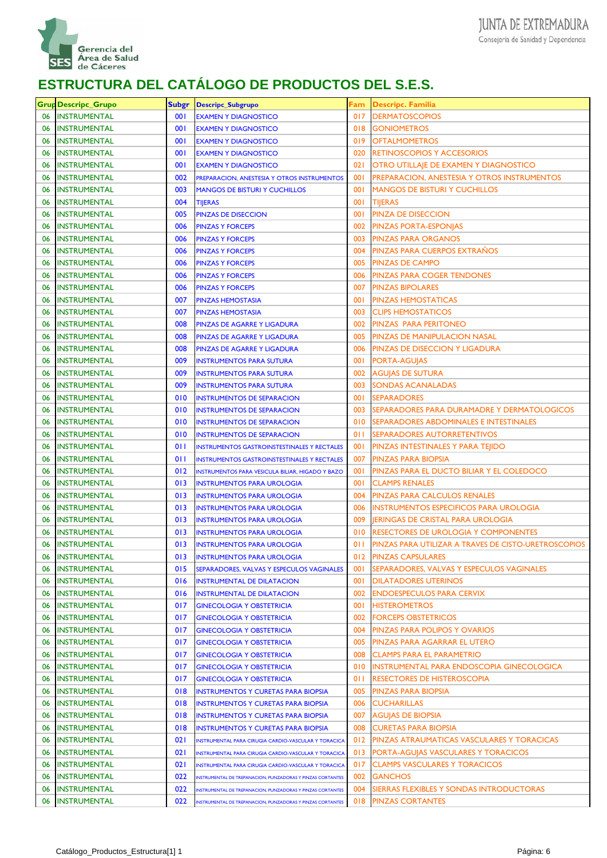

|    | <b>Grup Descripc_Grupo</b> | <b>Subgr</b> | <b>Descripc_Subgrupo</b>                                   | Fam        | <b>Descripc. Familia</b>                             |
|----|----------------------------|--------------|------------------------------------------------------------|------------|------------------------------------------------------|
| 06 | <b>INSTRUMENTAL</b>        | 001          | <b>EXAMEN Y DIAGNOSTICO</b>                                | 017        | <b>DERMATOSCOPIOS</b>                                |
| 06 | <b>INSTRUMENTAL</b>        | 001          | <b>EXAMEN Y DIAGNOSTICO</b>                                | 018        | <b>GONIOMETROS</b>                                   |
| 06 | <b>INSTRUMENTAL</b>        | 001          | <b>EXAMEN Y DIAGNOSTICO</b>                                | 019        | OFTALMOMETROS                                        |
| 06 | <b>INSTRUMENTAL</b>        | 001          | <b>EXAMEN Y DIAGNOSTICO</b>                                | 020        | <b>RETINOSCOPIOS Y ACCESORIOS</b>                    |
| 06 | <b>INSTRUMENTAL</b>        | 001          | <b>EXAMEN Y DIAGNOSTICO</b>                                | 021        | OTRO UTILLAJE DE EXAMEN Y DIAGNOSTICO                |
| 06 | <b>INSTRUMENTAL</b>        | 002          | PREPARACION, ANESTESIA Y OTROS INSTRUMENTOS                | <b>001</b> | PREPARACION, ANESTESIA Y OTROS INSTRUMENTOS          |
| 06 | <b>INSTRUMENTAL</b>        | 003          | <b>MANGOS DE BISTURI Y CUCHILLOS</b>                       | <b>001</b> | MANGOS DE BISTURI Y CUCHILLOS                        |
| 06 | <b>INSTRUMENTAL</b>        | 004          | <b>TIJERAS</b>                                             | 001        | TIJERAS                                              |
| 06 | <b>INSTRUMENTAL</b>        | 005          | <b>PINZAS DE DISECCION</b>                                 | <b>001</b> | PINZA DE DISECCION                                   |
| 06 | <b>INSTRUMENTAL</b>        | 006          | <b>PINZAS Y FORCEPS</b>                                    | 002        | PINZAS PORTA-ESPONJAS                                |
| 06 | <b>INSTRUMENTAL</b>        | 006          | <b>PINZAS Y FORCEPS</b>                                    | 003        | <b>PINZAS PARA ORGANOS</b>                           |
| 06 | <b>INSTRUMENTAL</b>        | 006          | <b>PINZAS Y FORCEPS</b>                                    | 004        | PINZAS PARA CUERPOS EXTRAÑOS                         |
| 06 | <b>INSTRUMENTAL</b>        | 006          | <b>PINZAS Y FORCEPS</b>                                    | 005        | PINZAS DE CAMPO                                      |
| 06 | <b>INSTRUMENTAL</b>        | 006          | <b>PINZAS Y FORCEPS</b>                                    | 006        | PINZAS PARA COGER TENDONES                           |
| 06 | <b>INSTRUMENTAL</b>        | 006          | <b>PINZAS Y FORCEPS</b>                                    | 007        | <b>PINZAS BIPOLARES</b>                              |
| 06 | <b>INSTRUMENTAL</b>        | 007          | <b>PINZAS HEMOSTASIA</b>                                   | <b>001</b> | <b>PINZAS HEMOSTATICAS</b>                           |
| 06 | <b>INSTRUMENTAL</b>        | 007          | <b>PINZAS HEMOSTASIA</b>                                   | 003        | <b>CLIPS HEMOSTATICOS</b>                            |
| 06 | <b>INSTRUMENTAL</b>        | 008          | PINZAS DE AGARRE Y LIGADURA                                | 002        | PINZAS PARA PERITONEO                                |
| 06 | <b>INSTRUMENTAL</b>        | 008          | PINZAS DE AGARRE Y LIGADURA                                | 005        | PINZAS DE MANIPULACION NASAL                         |
| 06 | <b>INSTRUMENTAL</b>        | 008          | PINZAS DE AGARRE Y LIGADURA                                | 006        | PINZAS DE DISECCION Y LIGADURA                       |
| 06 | <b>INSTRUMENTAL</b>        | 009          | <b>INSTRUMENTOS PARA SUTURA</b>                            | 001        | PORTA-AGUJAS                                         |
| 06 | <b>INSTRUMENTAL</b>        | 009          | <b>INSTRUMENTOS PARA SUTURA</b>                            | 002        | AGUJAS DE SUTURA                                     |
| 06 | <b>INSTRUMENTAL</b>        | 009          | <b>INSTRUMENTOS PARA SUTURA</b>                            | 003        | SONDAS ACANALADAS                                    |
| 06 | <b>INSTRUMENTAL</b>        | 010          | <b>INSTRUMENTOS DE SEPARACION</b>                          | 001        | <b>SEPARADORES</b>                                   |
| 06 | <b>INSTRUMENTAL</b>        | 010          | <b>INSTRUMENTOS DE SEPARACION</b>                          | 003        | SEPARADORES PARA DURAMADRE Y DERMATOLOGICOS          |
| 06 | <b>INSTRUMENTAL</b>        | 010          | <b>INSTRUMENTOS DE SEPARACION</b>                          | 010        | SEPARADORES ABDOMINALES E INTESTINALES               |
| 06 | <b>INSTRUMENTAL</b>        | 010          | <b>INSTRUMENTOS DE SEPARACION</b>                          | 011        | SEPARADORES AUTORRETENTIVOS                          |
| 06 | <b>INSTRUMENTAL</b>        | 011          | <b>INSTRUMENTOS GASTROINSTESTINALES Y RECTALES</b>         | 00 I       | PINZAS INTESTINALES Y PARA TEJIDO                    |
| 06 | <b>INSTRUMENTAL</b>        | 011          | <b>INSTRUMENTOS GASTROINSTESTINALES Y RECTALES</b>         | 007        | PINZAS PARA BIOPSIA                                  |
| 06 | <b>INSTRUMENTAL</b>        | 012          | INSTRUMENTOS PARA VESICULA BILIAR, HIGADO Y BAZO           | 001        | PINZAS PARA EL DUCTO BILIAR Y EL COLEDOCO            |
| 06 | <b>INSTRUMENTAL</b>        | 013          | <b>INSTRUMENTOS PARA UROLOGIA</b>                          | <b>001</b> | <b>CLAMPS RENALES</b>                                |
| 06 | <b>INSTRUMENTAL</b>        | 013          | <b>INSTRUMENTOS PARA UROLOGIA</b>                          | 004        | PINZAS PARA CALCULOS RENALES                         |
| 06 | <b>INSTRUMENTAL</b>        | 013          | <b>INSTRUMENTOS PARA UROLOGIA</b>                          | 006        | INSTRUMENTOS ESPECIFICOS PARA UROLOGIA               |
| 06 | <b>INSTRUMENTAL</b>        | 013          | <b>INSTRUMENTOS PARA UROLOGIA</b>                          | 009        | JERINGAS DE CRISTAL PARA UROLOGIA                    |
| 06 | INSTRUMENTAL               | 013          | <b>INSTRUMENTOS PARA UROLOGIA</b>                          | 010        | RESECTORES DE UROLOGIA Y COMPONENTES                 |
| 06 | INSTRUMENTAL               | 013          | <b>INSTRUMENTOS PARA UROLOGIA</b>                          | 011        | PINZAS PARA UTILIZAR A TRAVES DE CISTO-URETROSCOPIOS |
| 06 | <b>INSTRUMENTAL</b>        | 013          | <b>INSTRUMENTOS PARA UROLOGIA</b>                          | 012        | <b>PINZAS CAPSULARES</b>                             |
| 06 | <b>INSTRUMENTAL</b>        | 015          | SEPARADORES, VALVAS Y ESPECULOS VAGINALES                  | 00 I       | SEPARADORES, VALVAS Y ESPECULOS VAGINALES            |
| 06 | <b>INSTRUMENTAL</b>        | 016          | <b>INSTRUMENTAL DE DILATACION</b>                          | 001        | <b>DILATADORES UTERINOS</b>                          |
| 06 | <b>INSTRUMENTAL</b>        | 016          | <b>INSTRUMENTAL DE DILATACION</b>                          | 002        | <b>ENDOESPECULOS PARA CERVIX</b>                     |
| 06 | <b>INSTRUMENTAL</b>        | 017          | <b>GINECOLOGIA Y OBSTETRICIA</b>                           | 00 I       | <b>HISTEROMETROS</b>                                 |
| 06 | <b>INSTRUMENTAL</b>        | 017          | <b>GINECOLOGIA Y OBSTETRICIA</b>                           | 002        | FORCEPS OBSTETRICOS                                  |
| 06 | <b>INSTRUMENTAL</b>        | 017          | <b>GINECOLOGIA Y OBSTETRICIA</b>                           | 004        | PINZAS PARA POLIPOS Y OVARIOS                        |
| 06 | <b>INSTRUMENTAL</b>        | 017          | <b>GINECOLOGIA Y OBSTETRICIA</b>                           | 005        | PINZAS PARA AGARRAR EL UTERO                         |
| 06 | <b>INSTRUMENTAL</b>        | 017          | <b>GINECOLOGIA Y OBSTETRICIA</b>                           | 008        | <b>CLAMPS PARA EL PARAMETRIO</b>                     |
| 06 | <b>INSTRUMENTAL</b>        | 017          | <b>GINECOLOGIA Y OBSTETRICIA</b>                           | 010        | INSTRUMENTAL PARA ENDOSCOPIA GINECOLOGICA            |
| 06 | <b>INSTRUMENTAL</b>        | 017          | <b>GINECOLOGIA Y OBSTETRICIA</b>                           | 011        | RESECTORES DE HISTEROSCOPIA                          |
| 06 | <b>INSTRUMENTAL</b>        | 018          | <b>INSTRUMENTOS Y CURETAS PARA BIOPSIA</b>                 | 005        | PINZAS PARA BIOPSIA                                  |
| 06 | <b>INSTRUMENTAL</b>        | 018          | <b>INSTRUMENTOS Y CURETAS PARA BIOPSIA</b>                 | 006        | CUCHARILLAS                                          |
| 06 | <b>INSTRUMENTAL</b>        | 018          | <b>INSTRUMENTOS Y CURETAS PARA BIOPSIA</b>                 | 007        | AGUJAS DE BIOPSIA                                    |
| 06 | <b>INSTRUMENTAL</b>        | 018          | <b>INSTRUMENTOS Y CURETAS PARA BIOPSIA</b>                 | 008        | CURETAS PARA BIOPSIA                                 |
| 06 | <b>INSTRUMENTAL</b>        | 021          | INSTRUMENTAL PARA CIRUGIA CARDIO-VASCULAR Y TORACICA       | 012        | PINZAS ATRAUMATICAS VASCULARES Y TORACICAS           |
| 06 | <b>INSTRUMENTAL</b>        | 021          | INSTRUMENTAL PARA CIRUGIA CARDIO-VASCULAR Y TORACICA       | 013        | PORTA-AGUJAS VASCULARES Y TORACICOS                  |
| 06 | <b>INSTRUMENTAL</b>        | 021          | INSTRUMENTAL PARA CIRUGIA CARDIO-VASCULAR Y TORACICA       | 017        | <b>CLAMPS VASCULARES Y TORACICOS</b>                 |
| 06 | <b>INSTRUMENTAL</b>        | 022          | NSTRUMENTAL DE TREPANACION, PUNZADORAS Y PINZAS CORTANTES  | 002        | GANCHOS                                              |
| 06 | <b>INSTRUMENTAL</b>        | 022          | NSTRUMENTAL DE TREPANACION, PUNZADORAS Y PINZAS CORTANTES  | 004        | SIERRAS FLEXIBLES Y SONDAS INTRODUCTORAS             |
| 06 | <b>INSTRUMENTAL</b>        | 022          | INSTRUMENTAL DE TREPANACION, PUNZADORAS Y PINZAS CORTANTES | 018        | <b>PINZAS CORTANTES</b>                              |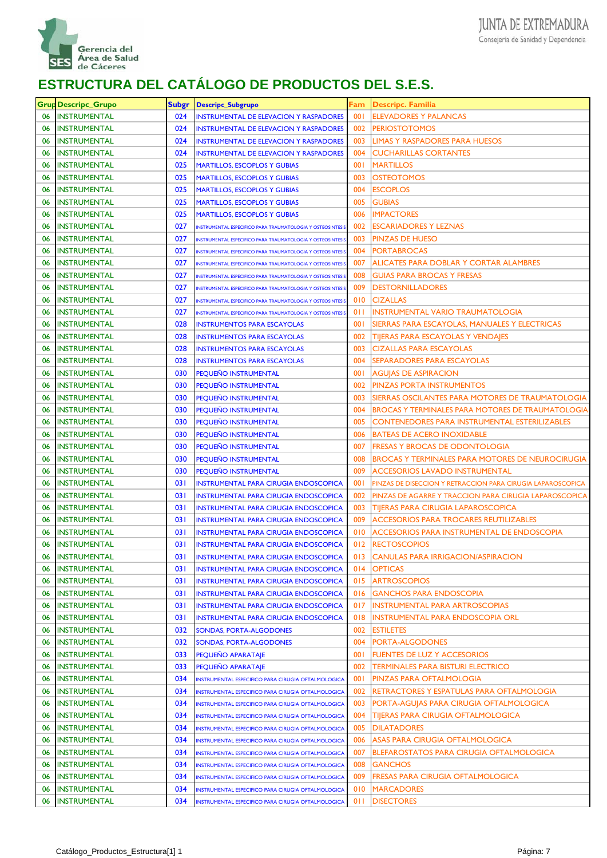

|    | <b>Grup Descripc_Grupo</b> | <b>Subgr</b> | <b>Descripc_Subgrupo</b>                                  | Fam        | <b>Descripc. Familia</b>                                    |
|----|----------------------------|--------------|-----------------------------------------------------------|------------|-------------------------------------------------------------|
| 06 | <b>INSTRUMENTAL</b>        | 024          | <b>INSTRUMENTAL DE ELEVACION Y RASPADORES</b>             | 001        | <b>ELEVADORES Y PALANCAS</b>                                |
| 06 | <b>INSTRUMENTAL</b>        | 024          | <b>INSTRUMENTAL DE ELEVACION Y RASPADORES</b>             | 002        | <b>PERIOSTOTOMOS</b>                                        |
| 06 | <b>INSTRUMENTAL</b>        | 024          | <b>INSTRUMENTAL DE ELEVACION Y RASPADORES</b>             | 003        | LIMAS Y RASPADORES PARA HUESOS                              |
| 06 | <b>INSTRUMENTAL</b>        | 024          | <b>INSTRUMENTAL DE ELEVACION Y RASPADORES</b>             | 004        | <b>CUCHARILLAS CORTANTES</b>                                |
| 06 | <b>INSTRUMENTAL</b>        | 025          | <b>MARTILLOS, ESCOPLOS Y GUBIAS</b>                       | 001        | <b>MARTILLOS</b>                                            |
| 06 | <b>INSTRUMENTAL</b>        | 025          | <b>MARTILLOS, ESCOPLOS Y GUBIAS</b>                       | 003        | OSTEOTOMOS                                                  |
| 06 | <b>INSTRUMENTAL</b>        | 025          | <b>MARTILLOS, ESCOPLOS Y GUBIAS</b>                       | 004        | ESCOPLOS                                                    |
| 06 | <b>INSTRUMENTAL</b>        | 025          | <b>MARTILLOS, ESCOPLOS Y GUBIAS</b>                       | 005        | <b>GUBIAS</b>                                               |
| 06 | <b>INSTRUMENTAL</b>        | 025          | <b>MARTILLOS, ESCOPLOS Y GUBIAS</b>                       | 006        | <b>IMPACTORES</b>                                           |
| 06 | <b>INSTRUMENTAL</b>        | 027          | NSTRUMENTAL ESPECIFICO PARA TRAUMATOLOGIA Y OSTEOSINTESI  | 002        | <b>ESCARIADORES Y LEZNAS</b>                                |
| 06 | <b>INSTRUMENTAL</b>        | 027          | NSTRUMENTAL ESPECIFICO PARA TRAUMATOLOGIA Y OSTEOSINTESI  | 003        | PINZAS DE HUESO                                             |
| 06 | <b>INSTRUMENTAL</b>        | 027          | NSTRUMENTAL ESPECIFICO PARA TRAUMATOLOGIA Y OSTEOSINTESI  | 004        | <b>PORTABROCAS</b>                                          |
| 06 | <b>INSTRUMENTAL</b>        | 027          | NSTRUMENTAL ESPECIFICO PARA TRAUMATOLOGIA Y OSTEOSINTESI  | 007        | ALICATES PARA DOBLAR Y CORTAR ALAMBRES                      |
| 06 | <b>INSTRUMENTAL</b>        | 027          | NSTRUMENTAL ESPECIFICO PARA TRAUMATOLOGIA Y OSTEOSINTESI  | 008        | <b>GUIAS PARA BROCAS Y FRESAS</b>                           |
| 06 | <b>INSTRUMENTAL</b>        | 027          | NSTRUMENTAL ESPECIFICO PARA TRAUMATOLOGIA Y OSTEOSINTESI  | 009        | <b>DESTORNILLADORES</b>                                     |
| 06 | <b>INSTRUMENTAL</b>        | 027          | NSTRUMENTAL ESPECIFICO PARA TRAUMATOLOGIA Y OSTEOSINTESI  | 010        | <b>CIZALLAS</b>                                             |
| 06 | <b>INSTRUMENTAL</b>        | 027          | INSTRUMENTAL ESPECIFICO PARA TRAUMATOLOGIA Y OSTEOSINTESI | 011        | <b>INSTRUMENTAL VARIO TRAUMATOLOGIA</b>                     |
| 06 | <b>INSTRUMENTAL</b>        | 028          | <b>INSTRUMENTOS PARA ESCAYOLAS</b>                        | <b>001</b> | SIERRAS PARA ESCAYOLAS, MANUALES Y ELECTRICAS               |
| 06 | <b>INSTRUMENTAL</b>        | 028          | <b>INSTRUMENTOS PARA ESCAYOLAS</b>                        | 002        | <b>TIJERAS PARA ESCAYOLAS Y VENDAJES</b>                    |
| 06 | <b>INSTRUMENTAL</b>        | 028          | <b>INSTRUMENTOS PARA ESCAYOLAS</b>                        | 003        | <b>CIZALLAS PARA ESCAYOLAS</b>                              |
| 06 | <b>INSTRUMENTAL</b>        | 028          | <b>INSTRUMENTOS PARA ESCAYOLAS</b>                        | 004        | SEPARADORES PARA ESCAYOLAS                                  |
| 06 | <b>INSTRUMENTAL</b>        | 030          | <b>PEQUEÑO INSTRUMENTAL</b>                               | <b>001</b> | AGUJAS DE ASPIRACION                                        |
| 06 | <b>INSTRUMENTAL</b>        | 030          | PEQUEÑO INSTRUMENTAL                                      | 002        | <b>PINZAS PORTA INSTRUMENTOS</b>                            |
| 06 | <b>INSTRUMENTAL</b>        | 030          | PEQUEÑO INSTRUMENTAL                                      | 003        | SIERRAS OSCILANTES PARA MOTORES DE TRAUMATOLOGIA            |
| 06 | <b>INSTRUMENTAL</b>        | 030          | PEQUEÑO INSTRUMENTAL                                      | 004        | <b>BROCAS Y TERMINALES PARA MOTORES DE TRAUMATOLOGIA</b>    |
| 06 | <b>INSTRUMENTAL</b>        | 030          | <b>PEQUENO INSTRUMENTAL</b>                               | 005        | CONTENEDORES PARA INSTRUMENTAL ESTERILIZABLES               |
| 06 | <b>INSTRUMENTAL</b>        | 030          | PEQUEÑO INSTRUMENTAL                                      | 006        | <b>BATEAS DE ACERO INOXIDABLE</b>                           |
| 06 | <b>INSTRUMENTAL</b>        | 030          | PEQUEÑO INSTRUMENTAL                                      | 007        | <b>FRESAS Y BROCAS DE ODONTOLOGIA</b>                       |
| 06 | INSTRUMENTAL               | 030          | PEQUEÑO INSTRUMENTAL                                      | 008        | BROCAS Y TERMINALES PARA MOTORES DE NEUROCIRUGIA            |
| 06 | <b>INSTRUMENTAL</b>        | 030          | <b>PEQUENO INSTRUMENTAL</b>                               | 009        | ACCESORIOS LAVADO INSTRUMENTAL                              |
| 06 | <b>INSTRUMENTAL</b>        | 031          | <b>INSTRUMENTAL PARA CIRUGIA ENDOSCOPICA</b>              | 001        | PINZAS DE DISECCION Y RETRACCION PARA CIRUGIA LAPAROSCOPICA |
| 06 | <b>INSTRUMENTAL</b>        | 031          | <b>INSTRUMENTAL PARA CIRUGIA ENDOSCOPICA</b>              | 002        | PINZAS DE AGARRE Y TRACCION PARA CIRUGIA LAPAROSCOPICA      |
| 06 | <b>INSTRUMENTAL</b>        | 031          | <b>INSTRUMENTAL PARA CIRUGIA ENDOSCOPICA</b>              | 003        | <b>TIJERAS PARA CIRUGIA LAPAROSCOPICA</b>                   |
| 06 | <b>INSTRUMENTAL</b>        | 031          | <b>INSTRUMENTAL PARA CIRUGIA ENDOSCOPICA</b>              | 009        | ACCESORIOS PARA TROCARES REUTILIZABLES                      |
| 06 | INSTRUMENTAL               | 031          | <b>INSTRUMENTAL PARA CIRUGIA ENDOSCOPICA</b>              | 010        | ACCESORIOS PARA INSTRUMENTAL DE ENDOSCOPIA                  |
| 06 | INSTRUMENTAL               | 031          | <b>INSTRUMENTAL PARA CIRUGIA ENDOSCOPICA</b>              | 012        | <b>RECTOSCOPIOS</b>                                         |
| 06 | <b>INSTRUMENTAL</b>        | 03 I         | <b>INSTRUMENTAL PARA CIRUGIA ENDOSCOPICA</b>              | 013        | <b>CANULAS PARA IRRIGACION/ASPIRACION</b>                   |
| 06 | <b>INSTRUMENTAL</b>        | 031          | INSTRUMENTAL PARA CIRUGIA ENDOSCOPICA                     | 014        | <b>OPTICAS</b>                                              |
| 06 | <b>INSTRUMENTAL</b>        | 031          | <b>INSTRUMENTAL PARA CIRUGIA ENDOSCOPICA</b>              | 015        | ARTROSCOPIOS                                                |
| 06 | <b>INSTRUMENTAL</b>        | 031          | <b>INSTRUMENTAL PARA CIRUGIA ENDOSCOPICA</b>              | 016        | GANCHOS PARA ENDOSCOPIA                                     |
| 06 | <b>INSTRUMENTAL</b>        | 031          | <b>INSTRUMENTAL PARA CIRUGIA ENDOSCOPICA</b>              | 017        | <b>INSTRUMENTAL PARA ARTROSCOPIAS</b>                       |
| 06 | <b>INSTRUMENTAL</b>        | 031          | <b>INSTRUMENTAL PARA CIRUGIA ENDOSCOPICA</b>              | 018        | INSTRUMENTAL PARA ENDOSCOPIA ORL                            |
| 06 | <b>INSTRUMENTAL</b>        | 032          | SONDAS, PORTA-ALGODONES                                   | 002        | ESTILETES                                                   |
| 06 | <b>INSTRUMENTAL</b>        | 032          | SONDAS, PORTA-ALGODONES                                   | 004        | PORTA-ALGODONES                                             |
| 06 | <b>INSTRUMENTAL</b>        | 033          | PEQUEÑO APARATAJE                                         | <b>001</b> | FUENTES DE LUZ Y ACCESORIOS                                 |
| 06 | <b>INSTRUMENTAL</b>        | 033          | PEQUEÑO APARATAJE                                         | 002        | TERMINALES PARA BISTURI ELECTRICO                           |
| 06 | <b>INSTRUMENTAL</b>        | 034          | INSTRUMENTAL ESPECIFICO PARA CIRUGIA OFTALMOLOGICA        | <b>001</b> | PINZAS PARA OFTALMOLOGIA                                    |
| 06 | <b>INSTRUMENTAL</b>        | 034          | INSTRUMENTAL ESPECIFICO PARA CIRUGIA OFTALMOLOGICA        | 002        | RETRACTORES Y ESPATULAS PARA OFTALMOLOGIA                   |
| 06 | <b>INSTRUMENTAL</b>        | 034          | INSTRUMENTAL ESPECIFICO PARA CIRUGIA OFTALMOLOGICA        | 003        | PORTA-AGUJAS PARA CIRUGIA OFTALMOLOGICA                     |
| 06 | <b>INSTRUMENTAL</b>        | 034          | INSTRUMENTAL ESPECIFICO PARA CIRUGIA OFTALMOLOGICA        | 004        | TIJERAS PARA CIRUGIA OFTALMOLOGICA                          |
| 06 | <b>INSTRUMENTAL</b>        | 034          | INSTRUMENTAL ESPECIFICO PARA CIRUGIA OFTALMOLOGICA        | 005        | DILATADORES                                                 |
| 06 | <b>INSTRUMENTAL</b>        | 034          | INSTRUMENTAL ESPECIFICO PARA CIRUGIA OFTALMOLOGICA        | 006        | ASAS PARA CIRUGIA OFTALMOLOGICA                             |
| 06 | <b>INSTRUMENTAL</b>        | 034          | INSTRUMENTAL ESPECIFICO PARA CIRUGIA OFTALMOLOGICA        | 007        | BLEFAROSTATOS PARA CIRUGIA OFTALMOLOGICA                    |
| 06 | <b>INSTRUMENTAL</b>        | 034          | INSTRUMENTAL ESPECIFICO PARA CIRUGIA OFTALMOLOGICA        | 008        | <b>GANCHOS</b>                                              |
| 06 | <b>INSTRUMENTAL</b>        | 034          | INSTRUMENTAL ESPECIFICO PARA CIRUGIA OFTALMOLOGICA        | 009        | FRESAS PARA CIRUGIA OFTALMOLOGICA                           |
| 06 | <b>INSTRUMENTAL</b>        | 034          | INSTRUMENTAL ESPECIFICO PARA CIRUGIA OFTALMOLOGICA        | 010        | <b>MARCADORES</b>                                           |
| 06 | <b>INSTRUMENTAL</b>        | 034          | INSTRUMENTAL ESPECIFICO PARA CIRUGIA OFTALMOLOGICA        | 011        | <b>DISECTORES</b>                                           |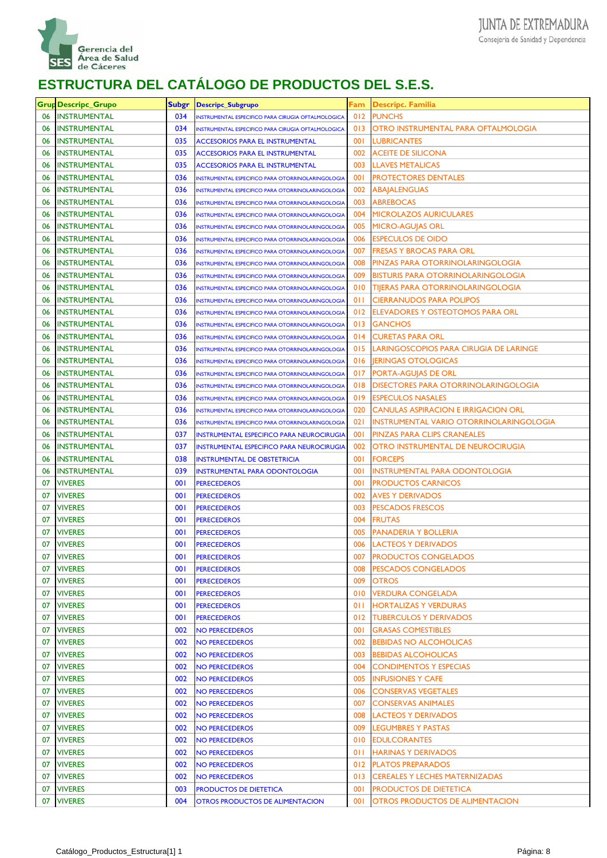

|    | <b>Grup Descripc_Grupo</b> | <b>Subgr</b> | <b>Descripc_Subgrupo</b>                                 | Fam        | <b>Descripc. Familia</b>                 |
|----|----------------------------|--------------|----------------------------------------------------------|------------|------------------------------------------|
| 06 | <b>INSTRUMENTAL</b>        | 034          | INSTRUMENTAL ESPECIFICO PARA CIRUGIA OFTALMOLOGICA       | 012        | <b>PUNCHS</b>                            |
| 06 | <b>INSTRUMENTAL</b>        | 034          | INSTRUMENTAL ESPECIFICO PARA CIRUGIA OFTALMOLOGICA       | 013        | OTRO INSTRUMENTAL PARA OFTALMOLOGIA      |
| 06 | <b>INSTRUMENTAL</b>        | 035          | <b>ACCESORIOS PARA EL INSTRUMENTAL</b>                   | 001        | <b>LUBRICANTES</b>                       |
| 06 | <b>INSTRUMENTAL</b>        | 035          | <b>ACCESORIOS PARA EL INSTRUMENTAL</b>                   | 002        | ACEITE DE SILICONA                       |
| 06 | <b>INSTRUMENTAL</b>        | 035          | <b>ACCESORIOS PARA EL INSTRUMENTAL</b>                   | 003        | <b>LLAVES METALICAS</b>                  |
| 06 | <b>INSTRUMENTAL</b>        | 036          | INSTRUMENTAL ESPECIFICO PARA OTORRINOLARINGOLOGIA        | 001        | <b>PROTECTORES DENTALES</b>              |
| 06 | <b>INSTRUMENTAL</b>        | 036          | INSTRUMENTAL ESPECIFICO PARA OTORRINOLARINGOLOGIA        | 002        | ABAJALENGUAS                             |
| 06 | <b>INSTRUMENTAL</b>        | 036          | <b>INSTRUMENTAL ESPECIFICO PARA OTORRINOLARINGOLOGIA</b> | 003        | ABREBOCAS                                |
| 06 | <b>INSTRUMENTAL</b>        | 036          | <b>INSTRUMENTAL ESPECIFICO PARA OTORRINOLARINGOLOGIA</b> | 004        | <b>MICROLAZOS AURICULARES</b>            |
| 06 | <b>INSTRUMENTAL</b>        | 036          | <b>INSTRUMENTAL ESPECIFICO PARA OTORRINOLARINGOLOGIA</b> | 005        | <b>MICRO-AGUIAS ORL</b>                  |
| 06 | <b>INSTRUMENTAL</b>        | 036          | INSTRUMENTAL ESPECIFICO PARA OTORRINOLARINGOLOGIA        | 006        | ESPECULOS DE OIDO                        |
| 06 | <b>INSTRUMENTAL</b>        | 036          | INSTRUMENTAL ESPECIFICO PARA OTORRINOLARINGOLOGIA        | 007        | FRESAS Y BROCAS PARA ORL                 |
| 06 | <b>INSTRUMENTAL</b>        | 036          | <b>INSTRUMENTAL ESPECIFICO PARA OTORRINOLARINGOLOGIA</b> | 008        | PINZAS PARA OTORRINOLARINGOLOGIA         |
| 06 | <b>INSTRUMENTAL</b>        | 036          | INSTRUMENTAL ESPECIFICO PARA OTORRINOLARINGOLOGIA        | 009        | BISTURIS PARA OTORRINOLARINGOLOGIA       |
| 06 | <b>INSTRUMENTAL</b>        | 036          | <b>INSTRUMENTAL ESPECIFICO PARA OTORRINOLARINGOLOGIA</b> | 010        | <b>TIJERAS PARA OTORRINOLARINGOLOGIA</b> |
| 06 | <b>INSTRUMENTAL</b>        | 036          | INSTRUMENTAL ESPECIFICO PARA OTORRINOLARINGOLOGIA        | 011        | <b>CIERRANUDOS PARA POLIPOS</b>          |
| 06 | <b>INSTRUMENTAL</b>        | 036          | INSTRUMENTAL ESPECIFICO PARA OTORRINOLARINGOLOGIA        | 012        | ELEVADORES Y OSTEOTOMOS PARA ORL         |
| 06 | <b>INSTRUMENTAL</b>        | 036          | <b>INSTRUMENTAL ESPECIFICO PARA OTORRINOLARINGOLOGIA</b> | 013        | <b>GANCHOS</b>                           |
| 06 | <b>INSTRUMENTAL</b>        | 036          | INSTRUMENTAL ESPECIFICO PARA OTORRINOLARINGOLOGIA        | 014        | <b>CURETAS PARA ORL</b>                  |
| 06 | <b>INSTRUMENTAL</b>        | 036          | <b>INSTRUMENTAL ESPECIFICO PARA OTORRINOLARINGOLOGIA</b> | 015        | LARINGOSCOPIOS PARA CIRUGIA DE LARINGE   |
| 06 | <b>INSTRUMENTAL</b>        | 036          | INSTRUMENTAL ESPECIFICO PARA OTORRINOLARINGOLOGIA        | 016        | <b>IERINGAS OTOLOGICAS</b>               |
| 06 | <b>INSTRUMENTAL</b>        | 036          | INSTRUMENTAL ESPECIFICO PARA OTORRINOLARINGOLOGIA        | 017        | PORTA-AGUJAS DE ORL                      |
| 06 | <b>INSTRUMENTAL</b>        | 036          | <b>INSTRUMENTAL ESPECIFICO PARA OTORRINOLARINGOLOGIA</b> | 018        | DISECTORES PARA OTORRINOLARINGOLOGIA     |
| 06 | <b>INSTRUMENTAL</b>        | 036          | INSTRUMENTAL ESPECIFICO PARA OTORRINOLARINGOLOGIA        | 019        | <b>ESPECULOS NASALES</b>                 |
| 06 | <b>INSTRUMENTAL</b>        | 036          | INSTRUMENTAL ESPECIFICO PARA OTORRINOLARINGOLOGIA        | 020        | CANULAS ASPIRACION E IRRIGACION ORL      |
| 06 | <b>INSTRUMENTAL</b>        | 036          | INSTRUMENTAL ESPECIFICO PARA OTORRINOLARINGOLOGIA        | 021        | INSTRUMENTAL VARIO OTORRINOLARINGOLOGIA  |
| 06 | <b>INSTRUMENTAL</b>        | 037          | <b>INSTRUMENTAL ESPECIFICO PARA NEUROCIRUGIA</b>         | <b>001</b> | PINZAS PARA CLIPS CRANEALES              |
| 06 | <b>INSTRUMENTAL</b>        | 037          | <b>INSTRUMENTAL ESPECIFICO PARA NEUROCIRUGIA</b>         | 002        | OTRO INSTRUMENTAL DE NEUROCIRUGIA        |
| 06 | <b>INSTRUMENTAL</b>        | 038          | <b>INSTRUMENTAL DE OBSTETRICIA</b>                       | 001        | <b>FORCEPS</b>                           |
| 06 | <b>INSTRUMENTAL</b>        | 039          | <b>INSTRUMENTAL PARA ODONTOLOGIA</b>                     | <b>001</b> | INSTRUMENTAL PARA ODONTOLOGIA            |
| 07 | <b>VIVERES</b>             | 001          | <b>PERECEDEROS</b>                                       | <b>001</b> | <b>PRODUCTOS CARNICOS</b>                |
| 07 | <b>VIVERES</b>             | 001          | <b>PERECEDEROS</b>                                       | 002        | AVES Y DERIVADOS                         |
| 07 | <b>VIVERES</b>             | 001          | <b>PERECEDEROS</b>                                       | 003        | <b>PESCADOS FRESCOS</b>                  |
| 07 | <b>VIVERES</b>             | 001          | <b>PERECEDEROS</b>                                       | 004        | <b>FRUTAS</b>                            |
| 07 | VIVERES                    | 001          | <b>PERECEDEROS</b>                                       | 005        | PANADERIA Y BOLLERIA                     |
| 07 | <b>VIVERES</b>             | 001          | <b>PERECEDEROS</b>                                       | 006        | <b>LACTEOS Y DERIVADOS</b>               |
| 07 | <b>VIVERES</b>             | 001          | <b>PERECEDEROS</b>                                       | 007        | <b>PRODUCTOS CONGELADOS</b>              |
| 07 | <b>VIVERES</b>             | 001          | <b>PERECEDEROS</b>                                       | 008        | PESCADOS CONGELADOS                      |
| 07 | <b>VIVERES</b>             | 001          | <b>PERECEDEROS</b>                                       | 009        | <b>OTROS</b>                             |
| 07 | <b>VIVERES</b>             | 001          | <b>PERECEDEROS</b>                                       | 010        | <b>VERDURA CONGELADA</b>                 |
| 07 | <b>VIVERES</b>             | 001          | <b>PERECEDEROS</b>                                       | 011        | <b>HORTALIZAS Y VERDURAS</b>             |
| 07 | <b>VIVERES</b>             | 001          | <b>PERECEDEROS</b>                                       | 012        | <b>TUBERCULOS Y DERIVADOS</b>            |
| 07 | <b>VIVERES</b>             | 002          | <b>NO PERECEDEROS</b>                                    | 001        | <b>GRASAS COMESTIBLES</b>                |
| 07 | <b>VIVERES</b>             | 002          | <b>NO PERECEDEROS</b>                                    | 002        | <b>BEBIDAS NO ALCOHOLICAS</b>            |
| 07 | <b>VIVERES</b>             | 002          | <b>NO PERECEDEROS</b>                                    | 003        | <b>BEBIDAS ALCOHOLICAS</b>               |
| 07 | <b>VIVERES</b>             | 002          | <b>NO PERECEDEROS</b>                                    | 004        | <b>CONDIMENTOS Y ESPECIAS</b>            |
| 07 | <b>VIVERES</b>             | 002          | <b>NO PERECEDEROS</b>                                    | 005        | <b>INFUSIONES Y CAFE</b>                 |
| 07 | <b>VIVERES</b>             | 002          | <b>NO PERECEDEROS</b>                                    | 006        | <b>CONSERVAS VEGETALES</b>               |
| 07 | <b>VIVERES</b>             | 002          | <b>NO PERECEDEROS</b>                                    | 007        | <b>CONSERVAS ANIMALES</b>                |
| 07 | <b>VIVERES</b>             | 002          | <b>NO PERECEDEROS</b>                                    | 008        | LACTEOS Y DERIVADOS                      |
| 07 | <b>VIVERES</b>             | 002          | <b>NO PERECEDEROS</b>                                    | 009        | <b>LEGUMBRES Y PASTAS</b>                |
| 07 | <b>VIVERES</b>             | 002          | <b>NO PERECEDEROS</b>                                    | 010        | <b>EDULCORANTES</b>                      |
| 07 | <b>VIVERES</b>             | 002          | <b>NO PERECEDEROS</b>                                    | 011        | <b>HARINAS Y DERIVADOS</b>               |
| 07 | <b>VIVERES</b>             | 002          | <b>NO PERECEDEROS</b>                                    | 012        | <b>PLATOS PREPARADOS</b>                 |
| 07 | <b>VIVERES</b>             | 002          | <b>NO PERECEDEROS</b>                                    | 013        | <b>CEREALES Y LECHES MATERNIZADAS</b>    |
| 07 | <b>VIVERES</b>             | 003          | <b>PRODUCTOS DE DIETETICA</b>                            | 001        | <b>PRODUCTOS DE DIETETICA</b>            |
| 07 | <b>VIVERES</b>             | 004          | <b>OTROS PRODUCTOS DE ALIMENTACION</b>                   | 001        | OTROS PRODUCTOS DE ALIMENTACION          |